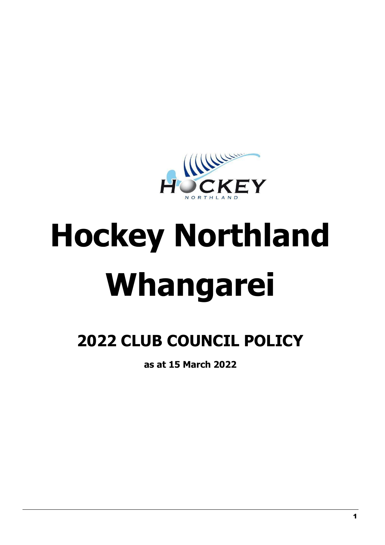

# **Hockey Northland Whangarei**

# **2022 CLUB COUNCIL POLICY**

**as at 15 March 2022**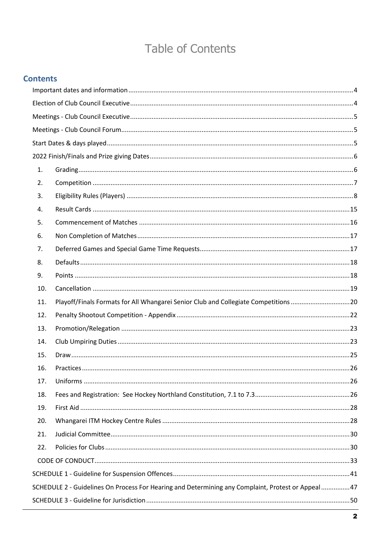## **Table of Contents**

| <b>Contents</b> |                                                                                                   |  |
|-----------------|---------------------------------------------------------------------------------------------------|--|
|                 |                                                                                                   |  |
|                 |                                                                                                   |  |
|                 |                                                                                                   |  |
|                 |                                                                                                   |  |
|                 |                                                                                                   |  |
|                 |                                                                                                   |  |
| 1.              |                                                                                                   |  |
| 2.              |                                                                                                   |  |
| 3.              |                                                                                                   |  |
| 4.              |                                                                                                   |  |
| 5.              |                                                                                                   |  |
| 6.              |                                                                                                   |  |
| 7.              |                                                                                                   |  |
| 8.              |                                                                                                   |  |
| 9.              |                                                                                                   |  |
| 10.             |                                                                                                   |  |
| 11.             | Playoff/Finals Formats for All Whangarei Senior Club and Collegiate Competitions 20               |  |
| 12.             |                                                                                                   |  |
| 13.             |                                                                                                   |  |
| 14.             |                                                                                                   |  |
| 15.             |                                                                                                   |  |
| 16.             |                                                                                                   |  |
| 17.             |                                                                                                   |  |
| 18.             |                                                                                                   |  |
| 19.             |                                                                                                   |  |
| 20.             |                                                                                                   |  |
| 21.             |                                                                                                   |  |
| 22.             |                                                                                                   |  |
|                 |                                                                                                   |  |
|                 |                                                                                                   |  |
|                 | SCHEDULE 2 - Guidelines On Process For Hearing and Determining any Complaint, Protest or Appeal47 |  |
|                 |                                                                                                   |  |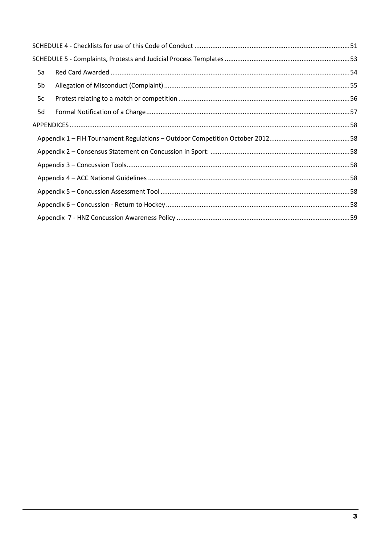| 5a             |  |
|----------------|--|
| 5 <sub>b</sub> |  |
| 5c             |  |
| 5d             |  |
|                |  |
|                |  |
|                |  |
|                |  |
|                |  |
|                |  |
|                |  |
|                |  |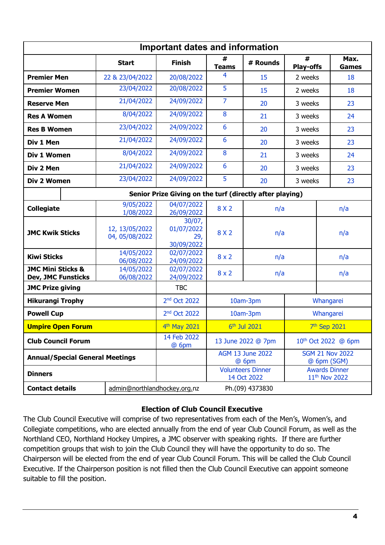<span id="page-3-0"></span>

| <b>Important dates and information</b>                                                |                                  |                                                          |                                  |                                         |                                       |                                                   |
|---------------------------------------------------------------------------------------|----------------------------------|----------------------------------------------------------|----------------------------------|-----------------------------------------|---------------------------------------|---------------------------------------------------|
|                                                                                       | <b>Start</b>                     | <b>Finish</b>                                            | #<br><b>Teams</b>                | # Rounds                                | #<br><b>Play-offs</b>                 | Max.<br><b>Games</b>                              |
| <b>Premier Men</b>                                                                    | 22 & 23/04/2022                  | 20/08/2022                                               | 4                                | 15                                      | 2 weeks                               | 18                                                |
| <b>Premier Women</b>                                                                  | 23/04/2022                       | 20/08/2022                                               | 5                                | 15                                      | 2 weeks                               | 18                                                |
| <b>Reserve Men</b>                                                                    | 21/04/2022                       | 24/09/2022                                               | $\overline{7}$                   | 20                                      | 3 weeks                               | 23                                                |
| <b>Res A Women</b>                                                                    | 8/04/2022                        | 24/09/2022                                               | 8                                | 21                                      | 3 weeks                               | 24                                                |
| <b>Res B Women</b>                                                                    | 23/04/2022                       | 24/09/2022                                               | 6                                | 20                                      | 3 weeks                               | 23                                                |
| Div 1 Men                                                                             | 21/04/2022                       | 24/09/2022                                               | 6                                | 20                                      | 3 weeks                               | 23                                                |
| Div 1 Women                                                                           | 8/04/2022                        | 24/09/2022                                               | 8                                | 21                                      | 3 weeks                               | 24                                                |
| Div 2 Men                                                                             | 21/04/2022                       | 24/09/2022                                               | 6                                | 20                                      | 3 weeks                               | 23                                                |
| Div 2 Women                                                                           | 23/04/2022                       | 24/09/2022                                               | 5                                | 20                                      | 3 weeks                               | 23                                                |
|                                                                                       |                                  | Senior Prize Giving on the turf (directly after playing) |                                  |                                         |                                       |                                                   |
| <b>Collegiate</b>                                                                     | 9/05/2022<br>1/08/2022           | 04/07/2022<br>26/09/2022                                 | 8 X 2                            | n/a                                     |                                       | n/a                                               |
| <b>JMC Kwik Sticks</b>                                                                | 12, 13/05/2022<br>04, 05/08/2022 | 30/07,<br>01/07/2022<br>29,<br>30/09/2022                | 8 X 2                            | n/a                                     |                                       | n/a                                               |
| 14/05/2022<br><b>Kiwi Sticks</b><br>06/08/2022                                        |                                  | 02/07/2022<br>24/09/2022                                 | $8 \times 2$                     | n/a<br>n/a                              |                                       |                                                   |
| <b>JMC Mini Sticks &amp;</b><br>14/05/2022<br><b>Dev, JMC Funsticks</b><br>06/08/2022 |                                  | 02/07/2022<br>24/09/2022                                 | $8 \times 2$                     | n/a<br>n/a                              |                                       |                                                   |
| <b>JMC Prize giving</b>                                                               |                                  | <b>TBC</b>                                               |                                  |                                         |                                       |                                                   |
| <b>Hikurangi Trophy</b>                                                               |                                  | 2 <sup>nd</sup> Oct 2022                                 | 10am-3pm<br>Whangarei            |                                         |                                       |                                                   |
| <b>Powell Cup</b>                                                                     |                                  | 2 <sup>nd</sup> Oct 2022                                 | 10am-3pm                         |                                         | Whangarei                             |                                                   |
| <b>Umpire Open Forum</b>                                                              |                                  | 4 <sup>th</sup> May 2021                                 | 6 <sup>th</sup> Jul 2021         |                                         |                                       | 7 <sup>th</sup> Sep 2021                          |
| <b>Club Council Forum</b>                                                             |                                  | 14 Feb 2022<br>@ 6pm                                     | 13 June 2022 @ 7pm               |                                         | 10 <sup>th</sup> Oct 2022 @ 6pm       |                                                   |
| <b>Annual/Special General Meetings</b>                                                |                                  |                                                          | <b>AGM 13 June 2022</b><br>@ 6pm |                                         | <b>SGM 21 Nov 2022</b><br>@ 6pm (SGM) |                                                   |
| <b>Dinners</b>                                                                        |                                  |                                                          |                                  | <b>Volunteers Dinner</b><br>14 Oct 2022 |                                       | <b>Awards Dinner</b><br>11 <sup>th</sup> Nov 2022 |
| <b>Contact details</b>                                                                | admin@northlandhockey.org.nz     |                                                          |                                  | Ph.(09) 4373830                         |                                       |                                                   |

#### **Election of Club Council Executive**

<span id="page-3-1"></span>The Club Council Executive will comprise of two representatives from each of the Men's, Women's, and Collegiate competitions, who are elected annually from the end of year Club Council Forum, as well as the Northland CEO, Northland Hockey Umpires, a JMC observer with speaking rights. If there are further competition groups that wish to join the Club Council they will have the opportunity to do so. The Chairperson will be elected from the end of year Club Council Forum. This will be called the Club Council Executive. If the Chairperson position is not filled then the Club Council Executive can appoint someone suitable to fill the position.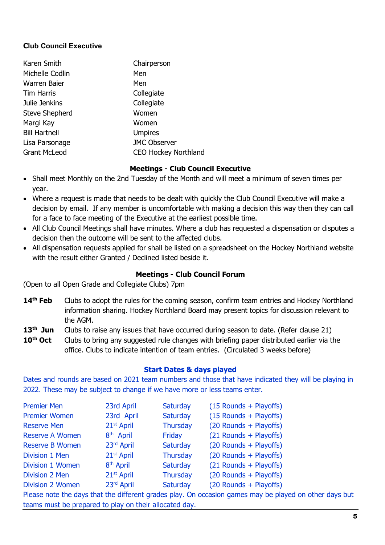#### **Club Council Executive**

| Karen Smith           | Chairperson                 |
|-----------------------|-----------------------------|
| Michelle Codlin       | Men                         |
| Warren Baier          | Men                         |
| <b>Tim Harris</b>     | Collegiate                  |
| Julie Jenkins         | Collegiate                  |
| <b>Steve Shepherd</b> | Women                       |
| Margi Kay             | Women                       |
| <b>Bill Hartnell</b>  | <b>Umpires</b>              |
| Lisa Parsonage        | <b>JMC Observer</b>         |
| <b>Grant McLeod</b>   | <b>CEO Hockey Northland</b> |

#### **Meetings - Club Council Executive**

- <span id="page-4-0"></span>• Shall meet Monthly on the 2nd Tuesday of the Month and will meet a minimum of seven times per year.
- Where a request is made that needs to be dealt with quickly the Club Council Executive will make a decision by email. If any member is uncomfortable with making a decision this way then they can call for a face to face meeting of the Executive at the earliest possible time.
- All Club Council Meetings shall have minutes. Where a club has requested a dispensation or disputes a decision then the outcome will be sent to the affected clubs.
- All dispensation requests applied for shall be listed on a spreadsheet on the Hockey Northland website with the result either Granted / Declined listed beside it.

#### **Meetings - Club Council Forum**

<span id="page-4-1"></span>(Open to all Open Grade and Collegiate Clubs) 7pm

- 14<sup>th</sup> **Feb** Clubs to adopt the rules for the coming season, confirm team entries and Hockey Northland information sharing. Hockey Northland Board may present topics for discussion relevant to the AGM.
- 13<sup>th</sup> Jun Clubs to raise any issues that have occurred during season to date. (Refer clause 21)
- **10<sup>th</sup> Oct** Clubs to bring any suggested rule changes with briefing paper distributed earlier via the office. Clubs to indicate intention of team entries. (Circulated 3 weeks before)

#### **Start Dates & days played**

<span id="page-4-2"></span>Dates and rounds are based on 2021 team numbers and those that have indicated they will be playing in 2022. These may be subject to change if we have more or less teams enter.

| <b>Premier Men</b>                                                                                     | 23rd April             | Saturday        | $(15$ Rounds + Playoffs) |  |
|--------------------------------------------------------------------------------------------------------|------------------------|-----------------|--------------------------|--|
| <b>Premier Women</b>                                                                                   | 23rd April             | Saturday        | (15 Rounds + Playoffs)   |  |
| <b>Reserve Men</b>                                                                                     | $21st$ April           | <b>Thursday</b> | (20 Rounds + Playoffs)   |  |
| <b>Reserve A Women</b>                                                                                 | 8 <sup>th</sup> April  | Friday          | (21 Rounds + Playoffs)   |  |
| <b>Reserve B Women</b>                                                                                 | 23rd April             | Saturday        | (20 Rounds + Playoffs)   |  |
| Division 1 Men                                                                                         | $21st$ April           | <b>Thursday</b> | (20 Rounds + Playoffs)   |  |
| Division 1 Women                                                                                       | 8 <sup>th</sup> April  | Saturday        | (21 Rounds + Playoffs)   |  |
| Division 2 Men                                                                                         | 21 <sup>st</sup> April | <b>Thursday</b> | (20 Rounds + Playoffs)   |  |
| <b>Division 2 Women</b>                                                                                | 23rd April             | Saturday        | (20 Rounds + Playoffs)   |  |
| Please note the days that the different grades play. On occasion games may be played on other days but |                        |                 |                          |  |
| teams must be prepared to play on their allocated day.                                                 |                        |                 |                          |  |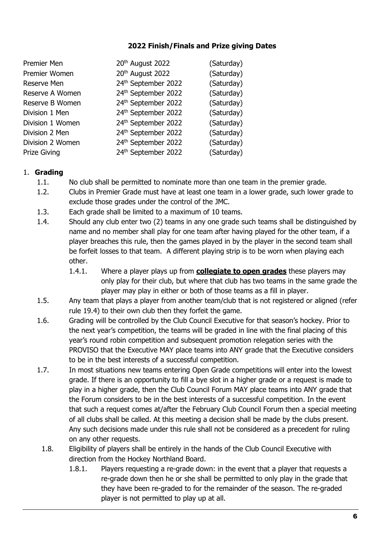#### **2022 Finish/Finals and Prize giving Dates**

<span id="page-5-0"></span>

| Premier Men         | 20 <sup>th</sup> August 2022 | (Saturday) |
|---------------------|------------------------------|------------|
| Premier Women       | 20 <sup>th</sup> August 2022 | (Saturday) |
| Reserve Men         | 24th September 2022          | (Saturday) |
| Reserve A Women     | 24th September 2022          | (Saturday) |
| Reserve B Women     | 24th September 2022          | (Saturday) |
| Division 1 Men      | 24th September 2022          | (Saturday) |
| Division 1 Women    | 24th September 2022          | (Saturday) |
| Division 2 Men      | 24th September 2022          | (Saturday) |
| Division 2 Women    | 24th September 2022          | (Saturday) |
| <b>Prize Giving</b> | 24th September 2022          | (Saturday) |

#### <span id="page-5-1"></span>1. **Grading**

- 1.1. No club shall be permitted to nominate more than one team in the premier grade.
- 1.2. Clubs in Premier Grade must have at least one team in a lower grade, such lower grade to exclude those grades under the control of the JMC.
- 1.3. Each grade shall be limited to a maximum of 10 teams.
- 1.4. Should any club enter two (2) teams in any one grade such teams shall be distinguished by name and no member shall play for one team after having played for the other team, if a player breaches this rule, then the games played in by the player in the second team shall be forfeit losses to that team. A different playing strip is to be worn when playing each other.
	- 1.4.1. Where a player plays up from **collegiate to open grades** these players may only play for their club, but where that club has two teams in the same grade the player may play in either or both of those teams as a fill in player.
- 1.5. Any team that plays a player from another team/club that is not registered or aligned (refer rule 19.4) to their own club then they forfeit the game.
- 1.6. Grading will be controlled by the Club Council Executive for that season's hockey. Prior to the next year's competition, the teams will be graded in line with the final placing of this year's round robin competition and subsequent promotion relegation series with the PROVISO that the Executive MAY place teams into ANY grade that the Executive considers to be in the best interests of a successful competition.
- 1.7. In most situations new teams entering Open Grade competitions will enter into the lowest grade. If there is an opportunity to fill a bye slot in a higher grade or a request is made to play in a higher grade, then the Club Council Forum MAY place teams into ANY grade that the Forum considers to be in the best interests of a successful competition. In the event that such a request comes at/after the February Club Council Forum then a special meeting of all clubs shall be called. At this meeting a decision shall be made by the clubs present. Any such decisions made under this rule shall not be considered as a precedent for ruling on any other requests.
- 1.8. Eligibility of players shall be entirely in the hands of the Club Council Executive with direction from the Hockey Northland Board.
	- 1.8.1. Players requesting a re-grade down: in the event that a player that requests a re-grade down then he or she shall be permitted to only play in the grade that they have been re-graded to for the remainder of the season. The re-graded player is not permitted to play up at all.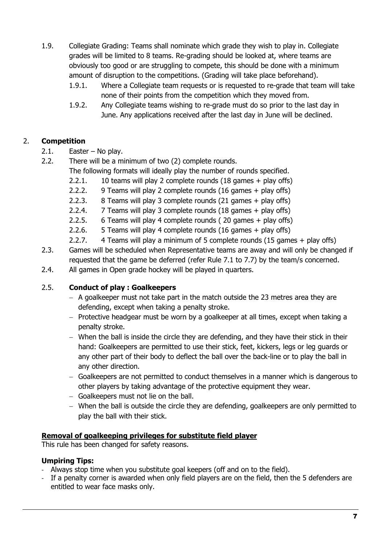- 1.9. Collegiate Grading: Teams shall nominate which grade they wish to play in. Collegiate grades will be limited to 8 teams. Re-grading should be looked at, where teams are obviously too good or are struggling to compete, this should be done with a minimum amount of disruption to the competitions. (Grading will take place beforehand).
	- 1.9.1. Where a Collegiate team requests or is requested to re-grade that team will take none of their points from the competition which they moved from.
	- 1.9.2. Any Collegiate teams wishing to re-grade must do so prior to the last day in June. Any applications received after the last day in June will be declined.

#### <span id="page-6-0"></span>2. **Competition**

- 2.1. Easter No play.
- 2.2. There will be a minimum of two (2) complete rounds.
	- The following formats will ideally play the number of rounds specified.
	- 2.2.1. 10 teams will play 2 complete rounds (18 games + play offs)
	- 2.2.2. 9 Teams will play 2 complete rounds (16 games + play offs)
	- 2.2.3. 8 Teams will play 3 complete rounds (21 games + play offs)
	- 2.2.4. 7 Teams will play 3 complete rounds (18 games + play offs)
	- 2.2.5. 6 Teams will play 4 complete rounds ( 20 games + play offs)
	- 2.2.6. 5 Teams will play 4 complete rounds (16 games + play offs)
	- 2.2.7. 4 Teams will play a minimum of 5 complete rounds (15 games + play offs)
- 2.3. Games will be scheduled when Representative teams are away and will only be changed if requested that the game be deferred (refer Rule [7.1](#page-16-2) to [7.7\)](#page-17-2) by the team/s concerned.
- 2.4. All games in Open grade hockey will be played in quarters.

#### 2.5. **Conduct of play : Goalkeepers**

- − A goalkeeper must not take part in the match outside the 23 metres area they are defending, except when taking a penalty stroke.
- − Protective headgear must be worn by a goalkeeper at all times, except when taking a penalty stroke.
- − When the ball is inside the circle they are defending, and they have their stick in their hand: Goalkeepers are permitted to use their stick, feet, kickers, legs or leg guards or any other part of their body to deflect the ball over the back-line or to play the ball in any other direction.
- − Goalkeepers are not permitted to conduct themselves in a manner which is dangerous to other players by taking advantage of the protective equipment they wear.
- − Goalkeepers must not lie on the ball.
- − When the ball is outside the circle they are defending, goalkeepers are only permitted to play the ball with their stick.

#### **Removal of goalkeeping privileges for substitute field player**

This rule has been changed for safety reasons.

#### **Umpiring Tips:**

- Always stop time when you substitute goal keepers (off and on to the field).
- If a penalty corner is awarded when only field players are on the field, then the 5 defenders are entitled to wear face masks only.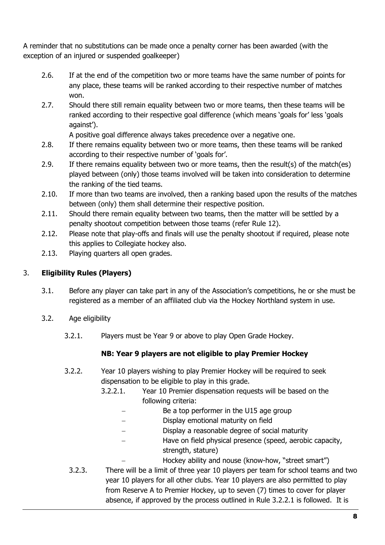A reminder that no substitutions can be made once a penalty corner has been awarded (with the exception of an injured or suspended goalkeeper)

- 2.6. If at the end of the competition two or more teams have the same number of points for any place, these teams will be ranked according to their respective number of matches won.
- 2.7. Should there still remain equality between two or more teams, then these teams will be ranked according to their respective goal difference (which means 'goals for' less 'goals against').

A positive goal difference always takes precedence over a negative one.

- 2.8. If there remains equality between two or more teams, then these teams will be ranked according to their respective number of 'goals for'.
- 2.9. If there remains equality between two or more teams, then the result(s) of the match(es) played between (only) those teams involved will be taken into consideration to determine the ranking of the tied teams.
- 2.10. If more than two teams are involved, then a ranking based upon the results of the matches between (only) them shall determine their respective position.
- 2.11. Should there remain equality between two teams, then the matter will be settled by a penalty shootout competition between those teams (refer Rule [12\)](#page-21-0).
- 2.12. Please note that play-offs and finals will use the penalty shootout if required, please note this applies to Collegiate hockey also.
- 2.13. Playing quarters all open grades.

#### <span id="page-7-0"></span>3. **Eligibility Rules (Players)**

- 3.1. Before any player can take part in any of the Association's competitions, he or she must be registered as a member of an affiliated club via the Hockey Northland system in use.
- 3.2. Age eligibility
	- 3.2.1. Players must be Year 9 or above to play Open Grade Hockey.

#### **NB: Year 9 players are not eligible to play Premier Hockey**

- 3.2.2. Year 10 players wishing to play Premier Hockey will be required to seek dispensation to be eligible to play in this grade.
	- 3.2.2.1. Year 10 Premier dispensation requests will be based on the following criteria:
		- Be a top performer in the U15 age group
		- Display emotional maturity on field
		- − Display a reasonable degree of social maturity
		- Have on field physical presence (speed, aerobic capacity, strength, stature)
			- − Hockey ability and nouse (know-how, "street smart")
	- 3.2.3. There will be a limit of three year 10 players per team for school teams and two year 10 players for all other clubs. Year 10 players are also permitted to play from Reserve A to Premier Hockey, up to seven (7) times to cover for player absence, if approved by the process outlined in Rule 3.2.2.1 is followed. It is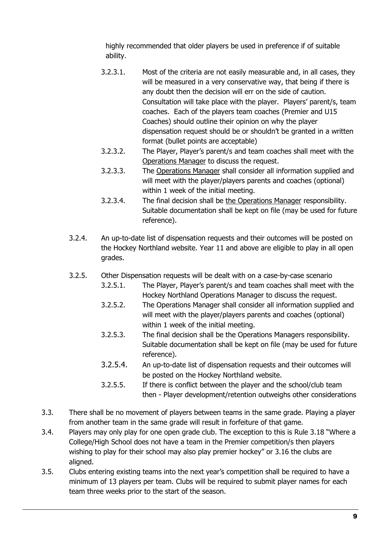highly recommended that older players be used in preference if of suitable ability.

- 3.2.3.1. Most of the criteria are not easily measurable and, in all cases, they will be measured in a very conservative way, that being if there is any doubt then the decision will err on the side of caution. Consultation will take place with the player. Players' parent/s, team coaches. Each of the players team coaches (Premier and U15 Coaches) should outline their opinion on why the player dispensation request should be or shouldn't be granted in a written format (bullet points are acceptable)
- 3.2.3.2. The Player, Player's parent/s and team coaches shall meet with the Operations Manager to discuss the request.
- 3.2.3.3. The Operations Manager shall consider all information supplied and will meet with the player/players parents and coaches (optional) within 1 week of the initial meeting.
- 3.2.3.4. The final decision shall be the Operations Manager responsibility. Suitable documentation shall be kept on file (may be used for future reference).
- 3.2.4. An up-to-date list of dispensation requests and their outcomes will be posted on the Hockey Northland website. Year 11 and above are eligible to play in all open grades.
- 3.2.5. Other Dispensation requests will be dealt with on a case-by-case scenario
	- 3.2.5.1. The Player, Player's parent/s and team coaches shall meet with the Hockey Northland Operations Manager to discuss the request.
	- 3.2.5.2. The Operations Manager shall consider all information supplied and will meet with the player/players parents and coaches (optional) within 1 week of the initial meeting.
	- 3.2.5.3. The final decision shall be the Operations Managers responsibility. Suitable documentation shall be kept on file (may be used for future reference).
	- 3.2.5.4. An up-to-date list of dispensation requests and their outcomes will be posted on the Hockey Northland website.
	- 3.2.5.5. If there is conflict between the player and the school/club team then - Player development/retention outweighs other considerations
- 3.3. There shall be no movement of players between teams in the same grade. Playing a player from another team in the same grade will result in forfeiture of that game.
- 3.4. Players may only play for one open grade club. The exception to this is Rule [3.18](#page-12-0) "Where a College/High School does not have a team in the Premier competition/s then players wishing to play for their school may also play premier hockey" or [3.16](#page-11-0) the clubs are aligned.
- 3.5. Clubs entering existing teams into the next year's competition shall be required to have a minimum of 13 players per team. Clubs will be required to submit player names for each team three weeks prior to the start of the season.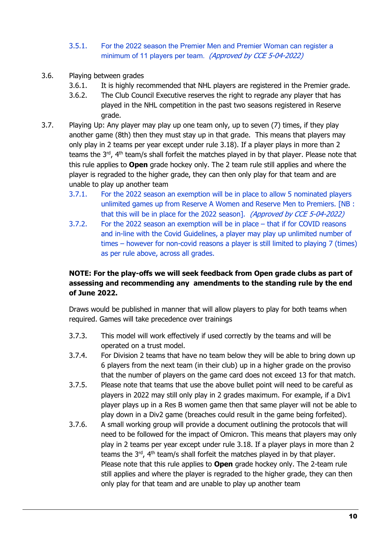#### 3.5.1. For the 2022 season the Premier Men and Premier Woman can register a minimum of 11 players per team. (Approved by CCE 5-04-2022)

- 3.6. Playing between grades
	- 3.6.1. It is highly recommended that NHL players are registered in the Premier grade.
	- 3.6.2. The Club Council Executive reserves the right to regrade any player that has played in the NHL competition in the past two seasons registered in Reserve grade.
- <span id="page-9-0"></span>3.7. Playing Up: Any player may play up one team only, up to seven (7) times, if they play another game (8th) then they must stay up in that grade. This means that players may only play in 2 teams per year except under rule 3.18). If a player plays in more than 2 teams the 3rd, 4th team/s shall forfeit the matches played in by that player. Please note that this rule applies to **Open** grade hockey only. The 2 team rule still applies and where the player is regraded to the higher grade, they can then only play for that team and are unable to play up another team
	- 3.7.1. For the 2022 season an exemption will be in place to allow 5 nominated players unlimited games up from Reserve A Women and Reserve Men to Premiers. [NB : that this will be in place for the 2022 season]. (Approved by CCE 5-04-2022)
	- 3.7.2. For the 2022 season an exemption will be in place that if for COVID reasons and in-line with the Covid Guidelines, a player may play up unlimited number of times – however for non-covid reasons a player is still limited to playing 7 (times) as per rule above, across all grades.

#### **NOTE: For the play-offs we will seek feedback from Open grade clubs as part of assessing and recommending any amendments to the standing rule by the end of June 2022.**

Draws would be published in manner that will allow players to play for both teams when required. Games will take precedence over trainings

- 3.7.3. This model will work effectively if used correctly by the teams and will be operated on a trust model.
- 3.7.4. For Division 2 teams that have no team below they will be able to bring down up 6 players from the next team (in their club) up in a higher grade on the proviso that the number of players on the game card does not exceed 13 for that match.
- 3.7.5. Please note that teams that use the above bullet point will need to be careful as players in 2022 may still only play in 2 grades maximum. For example, if a Div1 player plays up in a Res B women game then that same player will not be able to play down in a Div2 game (breaches could result in the game being forfeited).
- 3.7.6. A small working group will provide a document outlining the protocols that will need to be followed for the impact of Omicron. This means that players may only play in 2 teams per year except under rule [3.18.](#page-12-0) If a player plays in more than 2 teams the  $3^{rd}$ ,  $4^{th}$  team/s shall forfeit the matches played in by that player. Please note that this rule applies to **Open** grade hockey only. The 2-team rule still applies and where the player is regraded to the higher grade, they can then only play for that team and are unable to play up another team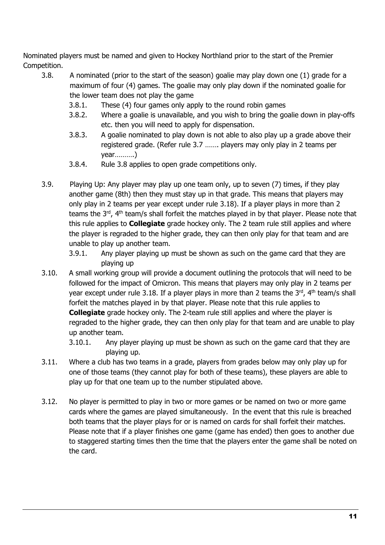Nominated players must be named and given to Hockey Northland prior to the start of the Premier Competition.

- <span id="page-10-0"></span>3.8. A nominated (prior to the start of the season) goalie may play down one (1) grade for a maximum of four (4) games. The goalie may only play down if the nominated goalie for the lower team does not play the game
	- 3.8.1. These (4) four games only apply to the round robin games
	- 3.8.2. Where a goalie is unavailable, and you wish to bring the goalie down in play-offs etc. then you will need to apply for dispensation.
	- 3.8.3. A goalie nominated to play down is not able to also play up a grade above their registered grade. (Refer rule 3.7 ……. players may only play in 2 teams per year……….)
	- 3.8.4. Rule 3.8 applies to open grade competitions only.
- 3.9. Playing Up: Any player may play up one team only, up to seven (7) times, if they play another game (8th) then they must stay up in that grade. This means that players may only play in 2 teams per year except under rule [3.18\)](#page-12-0). If a player plays in more than 2 teams the 3<sup>rd</sup>, 4<sup>th</sup> team/s shall forfeit the matches played in by that player. Please note that this rule applies to **Collegiate** grade hockey only. The 2 team rule still applies and where the player is regraded to the higher grade, they can then only play for that team and are unable to play up another team.
	- 3.9.1. Any player playing up must be shown as such on the game card that they are playing up
- 3.10. A small working group will provide a document outlining the protocols that will need to be followed for the impact of Omicron. This means that players may only play in 2 teams per year except under rule [3.18.](#page-12-0) If a player plays in more than 2 teams the  $3^{rd}$ ,  $4^{th}$  team/s shall forfeit the matches played in by that player. Please note that this rule applies to **Collegiate** grade hockey only. The 2-team rule still applies and where the player is regraded to the higher grade, they can then only play for that team and are unable to play up another team.

3.10.1. Any player playing up must be shown as such on the game card that they are playing up.

- 3.11. Where a club has two teams in a grade, players from grades below may only play up for one of those teams (they cannot play for both of these teams), these players are able to play up for that one team up to the number stipulated above.
- 3.12. No player is permitted to play in two or more games or be named on two or more game cards where the games are played simultaneously. In the event that this rule is breached both teams that the player plays for or is named on cards for shall forfeit their matches. Please note that if a player finishes one game (game has ended) then goes to another due to staggered starting times then the time that the players enter the game shall be noted on the card.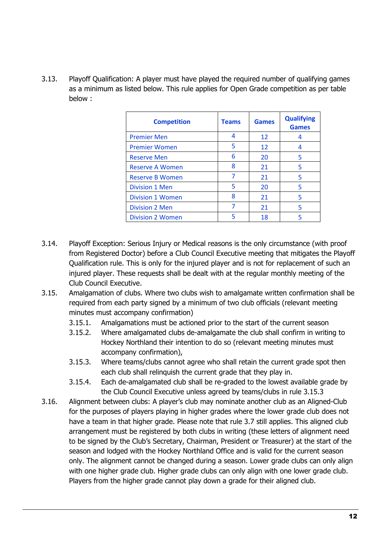<span id="page-11-2"></span>3.13. Playoff Qualification: A player must have played the required number of qualifying games as a minimum as listed below. This rule applies for Open Grade competition as per table below :

| <b>Competition</b>      | <b>Teams</b> | <b>Games</b> | <b>Qualifying</b><br><b>Games</b> |
|-------------------------|--------------|--------------|-----------------------------------|
| <b>Premier Men</b>      | 4            | 12           | 4                                 |
| <b>Premier Women</b>    | 5            | 12           | 4                                 |
| <b>Reserve Men</b>      | 6            | 20           | 5                                 |
| <b>Reserve A Women</b>  | 8            | 21           | 5                                 |
| <b>Reserve B Women</b>  | 7            | 21           | 5                                 |
| <b>Division 1 Men</b>   | 5            | 20           | 5                                 |
| <b>Division 1 Women</b> | 8            | 21           | 5                                 |
| Division 2 Men          | 7            | 21           | 5                                 |
| <b>Division 2 Women</b> | 5            | 18           |                                   |

- 3.14. Playoff Exception: Serious Injury or Medical reasons is the only circumstance (with proof from Registered Doctor) before a Club Council Executive meeting that mitigates the Playoff Qualification rule. This is only for the injured player and is not for replacement of such an injured player. These requests shall be dealt with at the regular monthly meeting of the Club Council Executive.
- 3.15. Amalgamation of clubs. Where two clubs wish to amalgamate written confirmation shall be required from each party signed by a minimum of two club officials (relevant meeting minutes must accompany confirmation)
	- 3.15.1. Amalgamations must be actioned prior to the start of the current season
	- 3.15.2. Where amalgamated clubs de-amalgamate the club shall confirm in writing to Hockey Northland their intention to do so (relevant meeting minutes must accompany confirmation),
	- 3.15.3. Where teams/clubs cannot agree who shall retain the current grade spot then each club shall relinquish the current grade that they play in.
	- 3.15.4. Each de-amalgamated club shall be re-graded to the lowest available grade by the Club Council Executive unless agreed by teams/clubs in rule [3.15.3](#page-11-1)
- <span id="page-11-1"></span><span id="page-11-0"></span>3.16. Alignment between clubs: A player's club may nominate another club as an Aligned-Club for the purposes of players playing in higher grades where the lower grade club does not have a team in that higher grade. Please note that rule [3.7](#page-9-0) still applies. This aligned club arrangement must be registered by both clubs in writing (these letters of alignment need to be signed by the Club's Secretary, Chairman, President or Treasurer) at the start of the season and lodged with the Hockey Northland Office and is valid for the current season only. The alignment cannot be changed during a season. Lower grade clubs can only align with one higher grade club. Higher grade clubs can only align with one lower grade club. Players from the higher grade cannot play down a grade for their aligned club.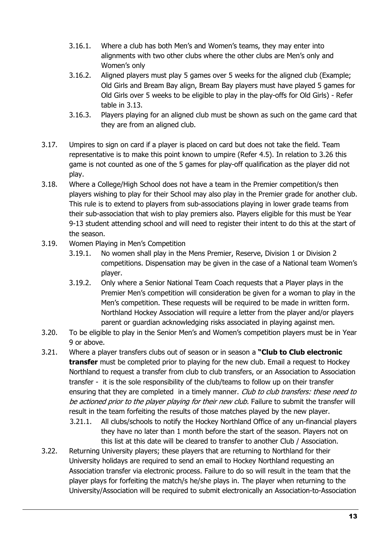- 3.16.1. Where a club has both Men's and Women's teams, they may enter into alignments with two other clubs where the other clubs are Men's only and Women's only
- 3.16.2. Aligned players must play 5 games over 5 weeks for the aligned club (Example; Old Girls and Bream Bay align, Bream Bay players must have played 5 games for Old Girls over 5 weeks to be eligible to play in the play-offs for Old Girls) - Refer table in [3.13.](#page-11-2)
- 3.16.3. Players playing for an aligned club must be shown as such on the game card that they are from an aligned club.
- 3.17. Umpires to sign on card if a player is placed on card but does not take the field. Team representative is to make this point known to umpire (Refer [4.5\)](#page-15-1). In relation to [3.26](#page-13-0) this game is not counted as one of the 5 games for play-off qualification as the player did not play.
- <span id="page-12-0"></span>3.18. Where a College/High School does not have a team in the Premier competition/s then players wishing to play for their School may also play in the Premier grade for another club. This rule is to extend to players from sub-associations playing in lower grade teams from their sub-association that wish to play premiers also. Players eligible for this must be Year 9-13 student attending school and will need to register their intent to do this at the start of the season.
- 3.19. Women Playing in Men's Competition
	- 3.19.1. No women shall play in the Mens Premier, Reserve, Division 1 or Division 2 competitions. Dispensation may be given in the case of a National team Women's player.
	- 3.19.2. Only where a Senior National Team Coach requests that a Player plays in the Premier Men's competition will consideration be given for a woman to play in the Men's competition. These requests will be required to be made in written form. Northland Hockey Association will require a letter from the player and/or players parent or guardian acknowledging risks associated in playing against men.
- 3.20. To be eligible to play in the Senior Men's and Women's competition players must be in Year 9 or above.
- <span id="page-12-1"></span>3.21. Where a player transfers clubs out of season or in season a **"Club to Club electronic transfer** must be completed prior to playing for the new club. Email a request to Hockey Northland to request a transfer from club to club transfers, or an Association to Association transfer - it is the sole responsibility of the club/teams to follow up on their transfer ensuring that they are completed in a timely manner. Club to club transfers: these need to be actioned prior to the player playing for their new club. Failure to submit the transfer will result in the team forfeiting the results of those matches played by the new player.
	- 3.21.1. All clubs/schools to notify the Hockey Northland Office of any un-financial players they have no later than 1 month before the start of the season. Players not on this list at this date will be cleared to transfer to another Club / Association.
- <span id="page-12-2"></span>3.22. Returning University players; these players that are returning to Northland for their University holidays are required to send an email to Hockey Northland requesting an Association transfer via electronic process. Failure to do so will result in the team that the player plays for forfeiting the match/s he/she plays in. The player when returning to the University/Association will be required to submit electronically an Association-to-Association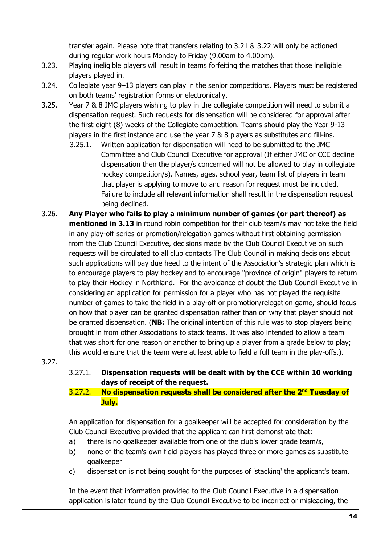transfer again. Please note that transfers relating to [3.21](#page-12-1) & [3.22](#page-12-2) will only be actioned during regular work hours Monday to Friday (9.00am to 4.00pm).

- 3.23. Playing ineligible players will result in teams forfeiting the matches that those ineligible players played in.
- 3.24. Collegiate year 9–13 players can play in the senior competitions. Players must be registered on both teams' registration forms or electronically.
- 3.25. Year 7 & 8 JMC players wishing to play in the collegiate competition will need to submit a dispensation request. Such requests for dispensation will be considered for approval after the first eight (8) weeks of the Collegiate competition. Teams should play the Year 9-13 players in the first instance and use the year 7 & 8 players as substitutes and fill-ins.
	- 3.25.1. Written application for dispensation will need to be submitted to the JMC Committee and Club Council Executive for approval (If either JMC or CCE decline dispensation then the player/s concerned will not be allowed to play in collegiate hockey competition/s). Names, ages, school year, team list of players in team that player is applying to move to and reason for request must be included. Failure to include all relevant information shall result in the dispensation request being declined.
- <span id="page-13-0"></span>3.26. **Any Player who fails to play a minimum number of games (or part thereof) as mentioned in [3.13](#page-11-2)** in round robin competition for their club team/s may not take the field in any play-off series or promotion/relegation games without first obtaining permission from the Club Council Executive, decisions made by the Club Council Executive on such requests will be circulated to all club contacts The Club Council in making decisions about such applications will pay due heed to the intent of the Association's strategic plan which is to encourage players to play hockey and to encourage "province of origin" players to return to play their Hockey in Northland. For the avoidance of doubt the Club Council Executive in considering an application for permission for a player who has not played the requisite number of games to take the field in a play-off or promotion/relegation game, should focus on how that player can be granted dispensation rather than on why that player should not be granted dispensation. (**NB:** The original intention of this rule was to stop players being brought in from other Associations to stack teams. It was also intended to allow a team that was short for one reason or another to bring up a player from a grade below to play; this would ensure that the team were at least able to field a full team in the play-offs.).

#### 3.27.

3.27.1. **Dispensation requests will be dealt with by the CCE within 10 working days of receipt of the request.**

#### 3.27.2. **No dispensation requests shall be considered after the 2nd Tuesday of July.**

An application for dispensation for a goalkeeper will be accepted for consideration by the Club Council Executive provided that the applicant can first demonstrate that:

- a) there is no goalkeeper available from one of the club's lower grade team/s,
- b) none of the team's own field players has played three or more games as substitute goalkeeper
- c) dispensation is not being sought for the purposes of 'stacking' the applicant's team.

In the event that information provided to the Club Council Executive in a dispensation application is later found by the Club Council Executive to be incorrect or misleading, the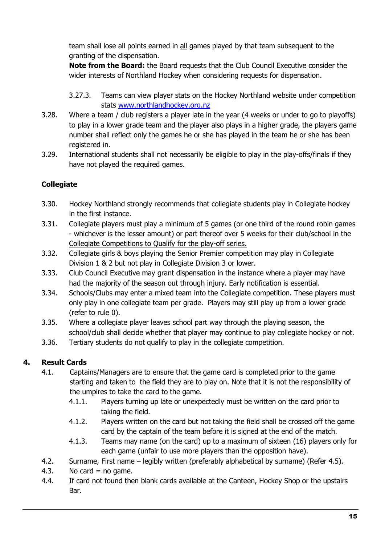team shall lose all points earned in all games played by that team subsequent to the granting of the dispensation.

**Note from the Board:** the Board requests that the Club Council Executive consider the wider interests of Northland Hockey when considering requests for dispensation.

- 3.27.3. Teams can view player stats on the Hockey Northland website under competition stats [www.northlandhockey.org.nz](http://www.northlandhockey.org.nz/)
- 3.28. Where a team / club registers a player late in the year (4 weeks or under to go to playoffs) to play in a lower grade team and the player also plays in a higher grade, the players game number shall reflect only the games he or she has played in the team he or she has been registered in.
- 3.29. International students shall not necessarily be eligible to play in the play-offs/finals if they have not played the required games.

#### **Collegiate**

- 3.30. Hockey Northland strongly recommends that collegiate students play in Collegiate hockey in the first instance.
- 3.31. Collegiate players must play a minimum of 5 games (or one third of the round robin games - whichever is the lesser amount) or part thereof over 5 weeks for their club/school in the Collegiate Competitions to Qualify for the play-off series.
- 3.32. Collegiate girls & boys playing the Senior Premier competition may play in Collegiate Division 1 & 2 but not play in Collegiate Division 3 or lower.
- 3.33. Club Council Executive may grant dispensation in the instance where a player may have had the majority of the season out through injury. Early notification is essential.
- 3.34. Schools/Clubs may enter a mixed team into the Collegiate competition. These players must only play in one collegiate team per grade. Players may still play up from a lower grade (refer to rule [0\)](#page-10-0).
- 3.35. Where a collegiate player leaves school part way through the playing season, the school/club shall decide whether that player may continue to play collegiate hockey or not.
- 3.36. Tertiary students do not qualify to play in the collegiate competition.

#### <span id="page-14-0"></span>**4. Result Cards**

- 4.1. Captains/Managers are to ensure that the game card is completed prior to the game starting and taken to the field they are to play on. Note that it is not the responsibility of the umpires to take the card to the game.
	- 4.1.1. Players turning up late or unexpectedly must be written on the card prior to taking the field.
	- 4.1.2. Players written on the card but not taking the field shall be crossed off the game card by the captain of the team before it is signed at the end of the match.
	- 4.1.3. Teams may name (on the card) up to a maximum of sixteen (16) players only for each game (unfair to use more players than the opposition have).
- 4.2. Surname, First name legibly written (preferably alphabetical by surname) (Refer [4.5\)](#page-15-1).
- 4.3. No card  $=$  no game.
- 4.4. If card not found then blank cards available at the Canteen, Hockey Shop or the upstairs Bar.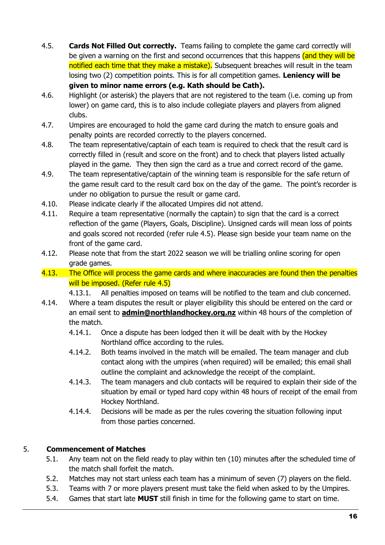- <span id="page-15-1"></span>4.5. **Cards Not Filled Out correctly.** Teams failing to complete the game card correctly will be given a warning on the first and second occurrences that this happens (and they will be notified each time that they make a mistake). Subsequent breaches will result in the team losing two (2) competition points. This is for all competition games. **Leniency will be given to minor name errors (e.g. Kath should be Cath).**
- 4.6. Highlight (or asterisk) the players that are not registered to the team (i.e. coming up from lower) on game card, this is to also include collegiate players and players from aligned clubs.
- 4.7. Umpires are encouraged to hold the game card during the match to ensure goals and penalty points are recorded correctly to the players concerned.
- 4.8. The team representative/captain of each team is required to check that the result card is correctly filled in (result and score on the front) and to check that players listed actually played in the game. They then sign the card as a true and correct record of the game.
- 4.9. The team representative/captain of the winning team is responsible for the safe return of the game result card to the result card box on the day of the game. The point's recorder is under no obligation to pursue the result or game card.
- 4.10. Please indicate clearly if the allocated Umpires did not attend.
- 4.11. Require a team representative (normally the captain) to sign that the card is a correct reflection of the game (Players, Goals, Discipline). Unsigned cards will mean loss of points and goals scored not recorded (refer rule [4.5\)](#page-15-1). Please sign beside your team name on the front of the game card.
- 4.12. Please note that from the start 2022 season we will be trialling online scoring for open grade games.
- 4.13. The Office will process the game cards and where inaccuracies are found then the penalties will be imposed. (Refer rule [4.5\)](#page-15-1)
	- 4.13.1. All penalties imposed on teams will be notified to the team and club concerned.
- 4.14. Where a team disputes the result or player eligibility this should be entered on the card or an email sent to **admin[@northlandhockey.org.nz](about:blank)** within 48 hours of the completion of the match.
	- 4.14.1. Once a dispute has been lodged then it will be dealt with by the Hockey Northland office according to the rules.
	- 4.14.2. Both teams involved in the match will be emailed. The team manager and club contact along with the umpires (when required) will be emailed; this email shall outline the complaint and acknowledge the receipt of the complaint.
	- 4.14.3. The team managers and club contacts will be required to explain their side of the situation by email or typed hard copy within 48 hours of receipt of the email from Hockey Northland.
	- 4.14.4. Decisions will be made as per the rules covering the situation following input from those parties concerned.

#### 5. **Commencement of Matches**

- <span id="page-15-0"></span>5.1. Any team not on the field ready to play within ten (10) minutes after the scheduled time of the match shall forfeit the match.
- 5.2. Matches may not start unless each team has a minimum of seven (7) players on the field.
- 5.3. Teams with 7 or more players present must take the field when asked to by the Umpires.
- 5.4. Games that start late **MUST** still finish in time for the following game to start on time.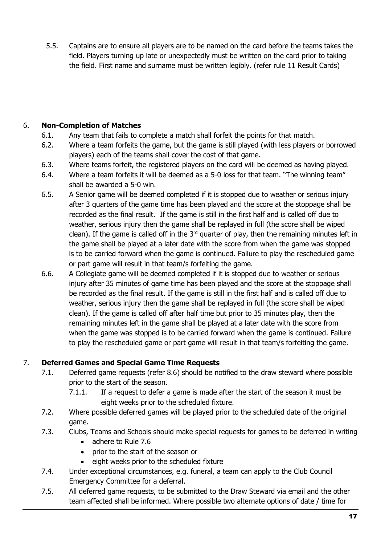5.5. Captains are to ensure all players are to be named on the card before the teams takes the field. Players turning up late or unexpectedly must be written on the card prior to taking the field. First name and surname must be written legibly. (refer rule 11 Result Cards)

#### <span id="page-16-0"></span>6. **Non-Completion of Matches**

- 6.1. Any team that fails to complete a match shall forfeit the points for that match.
- 6.2. Where a team forfeits the game, but the game is still played (with less players or borrowed players) each of the teams shall cover the cost of that game.
- 6.3. Where teams forfeit, the registered players on the card will be deemed as having played.
- 6.4. Where a team forfeits it will be deemed as a 5-0 loss for that team. "The winning team" shall be awarded a 5-0 win.
- 6.5. A Senior game will be deemed completed if it is stopped due to weather or serious injury after 3 quarters of the game time has been played and the score at the stoppage shall be recorded as the final result. If the game is still in the first half and is called off due to weather, serious injury then the game shall be replayed in full (the score shall be wiped clean). If the game is called off in the  $3<sup>rd</sup>$  quarter of play, then the remaining minutes left in the game shall be played at a later date with the score from when the game was stopped is to be carried forward when the game is continued. Failure to play the rescheduled game or part game will result in that team/s forfeiting the game.
- 6.6. A Collegiate game will be deemed completed if it is stopped due to weather or serious injury after 35 minutes of game time has been played and the score at the stoppage shall be recorded as the final result. If the game is still in the first half and is called off due to weather, serious injury then the game shall be replayed in full (the score shall be wiped clean). If the game is called off after half time but prior to 35 minutes play, then the remaining minutes left in the game shall be played at a later date with the score from when the game was stopped is to be carried forward when the game is continued. Failure to play the rescheduled game or part game will result in that team/s forfeiting the game.

#### <span id="page-16-2"></span><span id="page-16-1"></span>7. **Deferred Games and Special Game Time Requests**

- 7.1. Deferred game requests (refer 8.6) should be notified to the draw steward where possible prior to the start of the season.
	- 7.1.1. If a request to defer a game is made after the start of the season it must be eight weeks prior to the scheduled fixture.
- 7.2. Where possible deferred games will be played prior to the scheduled date of the original game.
- 7.3. Clubs, Teams and Schools should make special requests for games to be deferred in writing
	- adhere to Rule 7.6
	- prior to the start of the season or
	- eight weeks prior to the scheduled fixture
- 7.4. Under exceptional circumstances, e.g. funeral, a team can apply to the Club Council Emergency Committee for a deferral.
- 7.5. All deferred game requests, to be submitted to the Draw Steward via email and the other team affected shall be informed. Where possible two alternate options of date / time for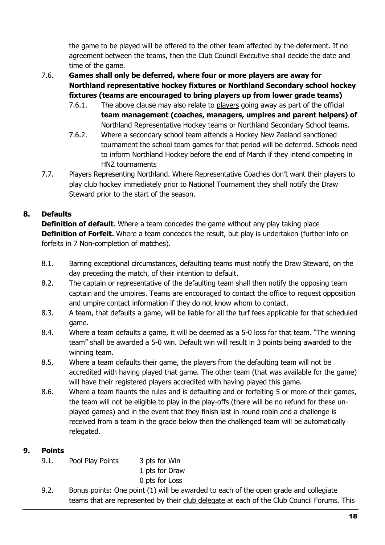the game to be played will be offered to the other team affected by the deferment. If no agreement between the teams, then the Club Council Executive shall decide the date and time of the game.

#### 7.6. **Games shall only be deferred, where four or more players are away for Northland representative hockey fixtures or Northland Secondary school hockey fixtures (teams are encouraged to bring players up from lower grade teams)**

- 7.6.1. The above clause may also relate to players going away as part of the official **team management (coaches, managers, umpires and parent helpers) of** Northland Representative Hockey teams or Northland Secondary School teams.
- 7.6.2. Where a secondary school team attends a Hockey New Zealand sanctioned tournament the school team games for that period will be deferred. Schools need to inform Northland Hockey before the end of March if they intend competing in HNZ tournaments
- <span id="page-17-2"></span>7.7. Players Representing Northland. Where Representative Coaches don't want their players to play club hockey immediately prior to National Tournament they shall notify the Draw Steward prior to the start of the season.

#### <span id="page-17-0"></span>**8. Defaults**

**Definition of default**. Where a team concedes the game without any play taking place **Definition of Forfeit.** Where a team concedes the result, but play is undertaken (further info on forfeits in 7 Non-completion of matches).

- 8.1. Barring exceptional circumstances, defaulting teams must notify the Draw Steward, on the day preceding the match, of their intention to default.
- 8.2. The captain or representative of the defaulting team shall then notify the opposing team captain and the umpires. Teams are encouraged to contact the office to request opposition and umpire contact information if they do not know whom to contact.
- 8.3. A team, that defaults a game, will be liable for all the turf fees applicable for that scheduled game.
- 8.4. Where a team defaults a game, it will be deemed as a 5-0 loss for that team. "The winning team" shall be awarded a 5-0 win. Default win will result in 3 points being awarded to the winning team.
- 8.5. Where a team defaults their game, the players from the defaulting team will not be accredited with having played that game. The other team (that was available for the game) will have their registered players accredited with having played this game.
- 8.6. Where a team flaunts the rules and is defaulting and or forfeiting 5 or more of their games, the team will not be eligible to play in the play-offs (there will be no refund for these unplayed games) and in the event that they finish last in round robin and a challenge is received from a team in the grade below then the challenged team will be automatically relegated.

#### <span id="page-17-1"></span>**9. Points**

9.1. Pool Play Points 3 pts for Win

1 pts for Draw

0 pts for Loss

9.2. Bonus points: One point (1) will be awarded to each of the open grade and collegiate teams that are represented by their club delegate at each of the Club Council Forums. This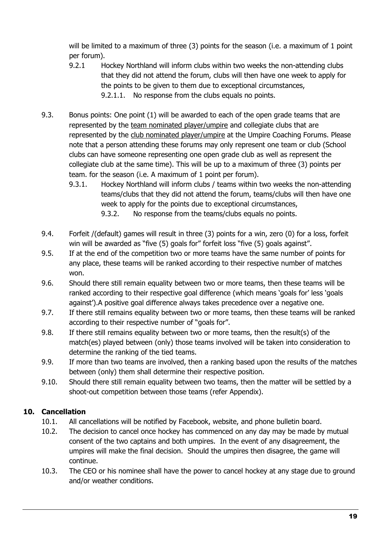will be limited to a maximum of three (3) points for the season (i.e. a maximum of 1 point per forum).

- 9.2.1 Hockey Northland will inform clubs within two weeks the non-attending clubs that they did not attend the forum, clubs will then have one week to apply for the points to be given to them due to exceptional circumstances, 9.2.1.1. No response from the clubs equals no points.
- 9.3. Bonus points: One point (1) will be awarded to each of the open grade teams that are represented by the team nominated player/umpire and collegiate clubs that are represented by the club nominated player/umpire at the Umpire Coaching Forums. Please note that a person attending these forums may only represent one team or club (School clubs can have someone representing one open grade club as well as represent the collegiate club at the same time). This will be up to a maximum of three (3) points per team. for the season (i.e. A maximum of 1 point per forum).
	- 9.3.1. Hockey Northland will inform clubs / teams within two weeks the non-attending teams/clubs that they did not attend the forum, teams/clubs will then have one week to apply for the points due to exceptional circumstances, 9.3.2. No response from the teams/clubs equals no points.
- 9.4. Forfeit /(default) games will result in three (3) points for a win, zero (0) for a loss, forfeit win will be awarded as "five (5) goals for" forfeit loss "five (5) goals against".
- 9.5. If at the end of the competition two or more teams have the same number of points for any place, these teams will be ranked according to their respective number of matches won.
- 9.6. Should there still remain equality between two or more teams, then these teams will be ranked according to their respective goal difference (which means 'goals for' less 'goals against').A positive goal difference always takes precedence over a negative one.
- 9.7. If there still remains equality between two or more teams, then these teams will be ranked according to their respective number of "goals for".
- 9.8. If there still remains equality between two or more teams, then the result(s) of the match(es) played between (only) those teams involved will be taken into consideration to determine the ranking of the tied teams.
- 9.9. If more than two teams are involved, then a ranking based upon the results of the matches between (only) them shall determine their respective position.
- 9.10. Should there still remain equality between two teams, then the matter will be settled by a shoot-out competition between those teams (refer Appendix).

#### <span id="page-18-0"></span>**10. Cancellation**

- 10.1. All cancellations will be notified by Facebook, website, and phone bulletin board.
- 10.2. The decision to cancel once hockey has commenced on any day may be made by mutual consent of the two captains and both umpires. In the event of any disagreement, the umpires will make the final decision. Should the umpires then disagree, the game will continue.
- 10.3. The CEO or his nominee shall have the power to cancel hockey at any stage due to ground and/or weather conditions.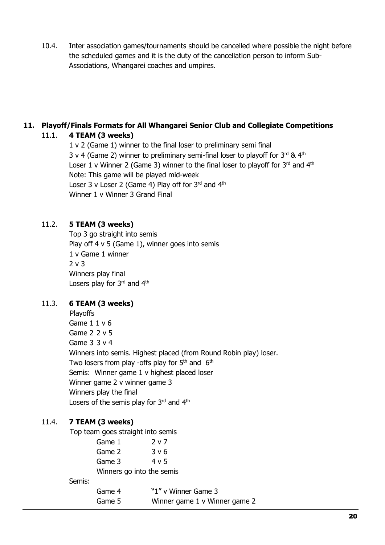10.4. Inter association games/tournaments should be cancelled where possible the night before the scheduled games and it is the duty of the cancellation person to inform Sub-Associations, Whangarei coaches and umpires.

#### <span id="page-19-0"></span>**11. Playoff/Finals Formats for All Whangarei Senior Club and Collegiate Competitions**

#### 11.1. **4 TEAM (3 weeks)**

1 v 2 (Game 1) winner to the final loser to preliminary semi final 3 v 4 (Game 2) winner to preliminary semi-final loser to playoff for  $3^{rd}$  &  $4^{th}$ Loser 1 v Winner 2 (Game 3) winner to the final loser to playoff for  $3^{rd}$  and  $4^{th}$ Note: This game will be played mid-week Loser 3 v Loser 2 (Game 4) Play off for  $3^{rd}$  and  $4^{th}$ Winner 1 v Winner 3 Grand Final

#### 11.2. **5 TEAM (3 weeks)**

Top 3 go straight into semis Play off  $4 \vee 5$  (Game 1), winner goes into semis 1 v Game 1 winner 2 v 3 Winners play final Losers play for 3rd and 4th

#### 11.3. **6 TEAM (3 weeks)**

Playoffs Game 1 1 v 6 Game 2 2 v 5 Game 3 3 v 4 Winners into semis. Highest placed (from Round Robin play) loser. Two losers from play -offs play for  $5<sup>th</sup>$  and  $6<sup>th</sup>$ Semis: Winner game 1 v highest placed loser Winner game 2 v winner game 3 Winners play the final Losers of the semis play for 3rd and 4th

#### 11.4. **7 TEAM (3 weeks)**

Top team goes straight into semis

|        | Game 1                    | 2 v 7                         |
|--------|---------------------------|-------------------------------|
|        | Game 2                    | 3 v 6                         |
|        | Game 3                    | 4 v 5                         |
|        | Winners go into the semis |                               |
| Semis: |                           |                               |
|        | Game 4                    | "1" v Winner Game 3           |
|        | Game 5                    | Winner game 1 v Winner game 2 |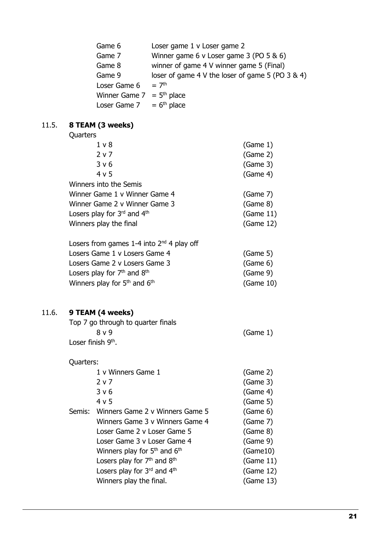| Game 6        | Loser game 1 v Loser game 2                          |
|---------------|------------------------------------------------------|
| Game 7        | Winner game 6 v Loser game 3 (PO 5 & 6)              |
| Game 8        | winner of game 4 V winner game 5 (Final)             |
| Game 9        | loser of game 4 V the loser of game 5 (PO $3 \& 4$ ) |
| Loser Game 6  | $= 7th$                                              |
| Winner Game 7 | $=$ 5 <sup>th</sup> place                            |
| Loser Game 7  | $= 6th$ place                                        |
|               |                                                      |
| 1 (3 weeks)   |                                                      |
| ົ             |                                                      |

#### 11.5. **8 TEAM Quarters**

| Yuurturu                      |           |
|-------------------------------|-----------|
| 1 <sub>v</sub>                | (Game 1)  |
| 2 v 7                         | (Same 2)  |
| 3 v 6                         | (Game 3)  |
| 4 v 5                         | (Game 4)  |
| Winners into the Semis        |           |
| Winner Game 1 v Winner Game 4 | (Game 7)  |
| Winner Game 2 v Winner Game 3 | (Game 8)  |
| Losers play for 3rd and 4th   | (Game 11) |
| Winners play the final        | (Game 12) |
|                               |           |

| Losers from games 1-4 into $2nd$ 4 play off          |           |
|------------------------------------------------------|-----------|
| Losers Game 1 v Losers Game 4                        | (Game 5)  |
| Losers Game 2 v Losers Game 3                        | (Game 6)  |
| Losers play for $7th$ and $8th$                      | (Game 9)  |
| Winners play for 5 <sup>th</sup> and 6 <sup>th</sup> | (Game 10) |

## 11.6. **9 TEAM (4 weeks)**

| Top 7 go through to quarter finals |          |
|------------------------------------|----------|
| 8 <sub>v</sub>                     | (Game 1) |
| Loser finish 9 <sup>th</sup> .     |          |

## Quarters:

| 1 v Winners Game 1                     | (Game 2)  |
|----------------------------------------|-----------|
| 2 v 7                                  | (Game 3)  |
| 3 <sub>v</sub> 6                       | (Game 4)  |
| 4 v 5                                  | (Game 5)  |
| Semis: Winners Game 2 v Winners Game 5 | (Game 6)  |
| Winners Game 3 v Winners Game 4        | (Game 7)  |
| Loser Game 2 v Loser Game 5            | (Game 8)  |
| Loser Game 3 v Loser Game 4            | (Game 9)  |
| Winners play for $5th$ and $6th$       | (Game10)  |
| Losers play for $7th$ and $8th$        | (Game 11) |
| Losers play for $3^{rd}$ and $4^{th}$  | (Game 12) |
| Winners play the final.                | (Game 13) |
|                                        |           |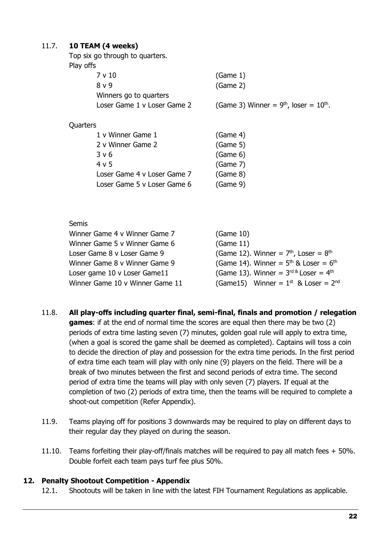#### 11.7. **10 TEAM (4 weeks)**

Top six go through to quarters. Play offs

|          | 7 v 10                      | (Game 1)                                   |
|----------|-----------------------------|--------------------------------------------|
|          | 8 v 9                       | (Same 2)                                   |
|          | Winners go to quarters      |                                            |
|          | Loser Game 1 v Loser Game 2 | (Game 3) Winner = $9th$ , loser = $10th$ . |
|          |                             |                                            |
| Quarters |                             |                                            |
|          | 1 v Winner Game 1           | (Game 4)                                   |
|          |                             |                                            |

| 2 v Winner Game 2           | (Game 5) |
|-----------------------------|----------|
| 3 v 6                       | (Game 6) |
| 4 v 5                       | (Game 7) |
| Loser Game 4 v Loser Game 7 | (Game 8) |
| Loser Game 5 v Loser Game 6 | (Game 9) |

#### Semis Winner Game 4 v Winner Game 7 (Game 10) Winner Game 5 v Winner Game 6 (Game 11) Loser Game 8 v Loser Game 9 (Game 12). Winner =  $7<sup>th</sup>$ , Loser =  $8<sup>th</sup>$ Winner Game 8 v Winner Game 9 (Game 14). Winner =  $5<sup>th</sup>$  & Loser =  $6<sup>th</sup>$ Loser game 10 v Loser Game11 (Game 13). Winner =  $3<sup>rd &</sup>$  Loser =  $4<sup>th</sup>$ Winner Game 10 v Winner Game 11 (Game 15) Winner =  $1<sup>st</sup>$  & Loser =  $2<sup>nd</sup>$

- 11.8. **All play-offs including quarter final, semi-final, finals and promotion / relegation games**: if at the end of normal time the scores are equal then there may be two (2) periods of extra time lasting seven (7) minutes, golden goal rule will apply to extra time, (when a goal is scored the game shall be deemed as completed). Captains will toss a coin to decide the direction of play and possession for the extra time periods. In the first period of extra time each team will play with only nine (9) players on the field. There will be a break of two minutes between the first and second periods of extra time. The second period of extra time the teams will play with only seven (7) players. If equal at the completion of two (2) periods of extra time, then the teams will be required to complete a shoot-out competition (Refer Appendix).
- 11.9. Teams playing off for positions 3 downwards may be required to play on different days to their regular day they played on during the season.
- 11.10. Teams forfeiting their play-off/finals matches will be required to pay all match fees + 50%. Double forfeit each team pays turf fee plus 50%.

#### <span id="page-21-0"></span>**12. Penalty Shootout Competition - Appendix**

12.1. Shootouts will be taken in line with the latest FIH Tournament Regulations as applicable.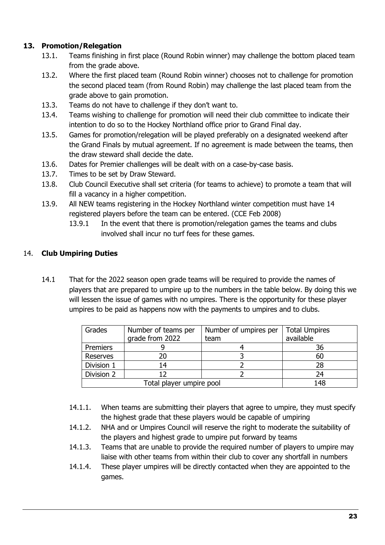#### <span id="page-22-0"></span>**13. Promotion/Relegation**

- 13.1. Teams finishing in first place (Round Robin winner) may challenge the bottom placed team from the grade above.
- 13.2. Where the first placed team (Round Robin winner) chooses not to challenge for promotion the second placed team (from Round Robin) may challenge the last placed team from the grade above to gain promotion.
- 13.3. Teams do not have to challenge if they don't want to.
- 13.4. Teams wishing to challenge for promotion will need their club committee to indicate their intention to do so to the Hockey Northland office prior to Grand Final day.
- 13.5. Games for promotion/relegation will be played preferably on a designated weekend after the Grand Finals by mutual agreement. If no agreement is made between the teams, then the draw steward shall decide the date.
- 13.6. Dates for Premier challenges will be dealt with on a case-by-case basis.
- 13.7. Times to be set by Draw Steward.
- 13.8. Club Council Executive shall set criteria (for teams to achieve) to promote a team that will fill a vacancy in a higher competition.
- 13.9. All NEW teams registering in the Hockey Northland winter competition must have 14 registered players before the team can be entered. (CCE Feb 2008)
	- 13.9.1 In the event that there is promotion/relegation games the teams and clubs involved shall incur no turf fees for these games.

#### <span id="page-22-1"></span>14. **Club Umpiring Duties**

14.1 That for the 2022 season open grade teams will be required to provide the names of players that are prepared to umpire up to the numbers in the table below. By doing this we will lessen the issue of games with no umpires. There is the opportunity for these player umpires to be paid as happens now with the payments to umpires and to clubs.

| Grades          | Number of teams per<br>grade from 2022 | Number of umpires per<br>team | <b>Total Umpires</b><br>available |
|-----------------|----------------------------------------|-------------------------------|-----------------------------------|
|                 |                                        |                               |                                   |
| Premiers        |                                        |                               | 36                                |
| <b>Reserves</b> | 20                                     |                               | 60                                |
| Division 1      | 14                                     |                               | 28                                |
| Division 2      |                                        |                               | 24                                |
|                 | 148                                    |                               |                                   |

- 14.1.1. When teams are submitting their players that agree to umpire, they must specify the highest grade that these players would be capable of umpiring
- 14.1.2. NHA and or Umpires Council will reserve the right to moderate the suitability of the players and highest grade to umpire put forward by teams
- 14.1.3. Teams that are unable to provide the required number of players to umpire may liaise with other teams from within their club to cover any shortfall in numbers
- 14.1.4. These player umpires will be directly contacted when they are appointed to the games.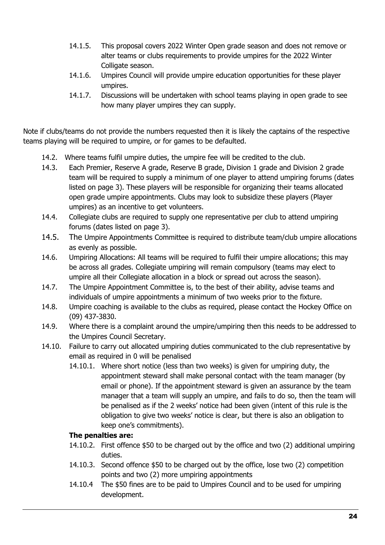- 14.1.5. This proposal covers 2022 Winter Open grade season and does not remove or alter teams or clubs requirements to provide umpires for the 2022 Winter Colligate season.
- 14.1.6. Umpires Council will provide umpire education opportunities for these player umpires.
- 14.1.7. Discussions will be undertaken with school teams playing in open grade to see how many player umpires they can supply.

Note if clubs/teams do not provide the numbers requested then it is likely the captains of the respective teams playing will be required to umpire, or for games to be defaulted.

- 14.2. Where teams fulfil umpire duties, the umpire fee will be credited to the club.
- 14.3. Each Premier, Reserve A grade, Reserve B grade, Division 1 grade and Division 2 grade team will be required to supply a minimum of one player to attend umpiring forums (dates listed on page 3). These players will be responsible for organizing their teams allocated open grade umpire appointments. Clubs may look to subsidize these players (Player umpires) as an incentive to get volunteers.
- 14.4. Collegiate clubs are required to supply one representative per club to attend umpiring forums (dates listed on page 3).
- 14.5. The Umpire Appointments Committee is required to distribute team/club umpire allocations as evenly as possible.
- 14.6. Umpiring Allocations: All teams will be required to fulfil their umpire allocations; this may be across all grades. Collegiate umpiring will remain compulsory (teams may elect to umpire all their Collegiate allocation in a block or spread out across the season).
- <span id="page-23-0"></span>14.7. The Umpire Appointment Committee is, to the best of their ability, advise teams and individuals of umpire appointments a minimum of two weeks prior to the fixture.
- 14.8. Umpire coaching is available to the clubs as required, please contact the Hockey Office on (09) 437-3830.
- 14.9. Where there is a complaint around the umpire/umpiring then this needs to be addressed to the Umpires Council Secretary.
- 14.10. Failure to carry out allocated umpiring duties communicated to the club representative by email as required in [0](#page-23-0) will be penalised
	- 14.10.1. Where short notice (less than two weeks) is given for umpiring duty, the appointment steward shall make personal contact with the team manager (by email or phone). If the appointment steward is given an assurance by the team manager that a team will supply an umpire, and fails to do so, then the team will be penalised as if the 2 weeks' notice had been given (intent of this rule is the obligation to give two weeks' notice is clear, but there is also an obligation to keep one's commitments).

#### **The penalties are:**

- 14.10.2. First offence \$50 to be charged out by the office and two (2) additional umpiring duties.
- 14.10.3. Second offence \$50 to be charged out by the office, lose two (2) competition points and two (2) more umpiring appointments
- 14.10.4 The \$50 fines are to be paid to Umpires Council and to be used for umpiring development.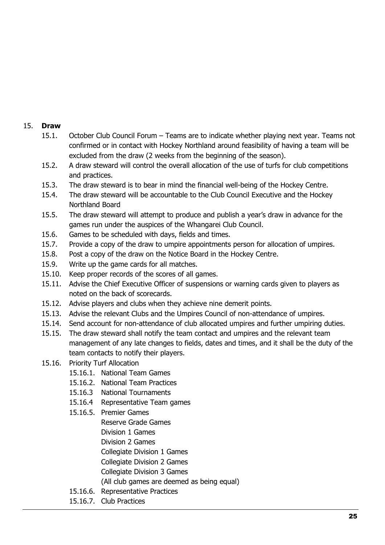#### <span id="page-24-0"></span>15. **Draw**

- 15.1. October Club Council Forum Teams are to indicate whether playing next year. Teams not confirmed or in contact with Hockey Northland around feasibility of having a team will be excluded from the draw (2 weeks from the beginning of the season).
- 15.2. A draw steward will control the overall allocation of the use of turfs for club competitions and practices.
- 15.3. The draw steward is to bear in mind the financial well-being of the Hockey Centre.
- 15.4. The draw steward will be accountable to the Club Council Executive and the Hockey Northland Board
- 15.5. The draw steward will attempt to produce and publish a year's draw in advance for the games run under the auspices of the Whangarei Club Council.
- 15.6. Games to be scheduled with days, fields and times.
- 15.7. Provide a copy of the draw to umpire appointments person for allocation of umpires.
- 15.8. Post a copy of the draw on the Notice Board in the Hockey Centre.
- 15.9. Write up the game cards for all matches.
- 15.10. Keep proper records of the scores of all games.
- 15.11. Advise the Chief Executive Officer of suspensions or warning cards given to players as noted on the back of scorecards.
- 15.12. Advise players and clubs when they achieve nine demerit points.
- 15.13. Advise the relevant Clubs and the Umpires Council of non-attendance of umpires.
- 15.14. Send account for non-attendance of club allocated umpires and further umpiring duties.
- 15.15. The draw steward shall notify the team contact and umpires and the relevant team management of any late changes to fields, dates and times, and it shall be the duty of the team contacts to notify their players.
- 15.16. Priority Turf Allocation
	- 15.16.1. National Team Games
	- 15.16.2. National Team Practices
	- 15.16.3 National Tournaments
	- 15.16.4 Representative Team games
	- 15.16.5. Premier Games Reserve Grade Games Division 1 Games Division 2 Games Collegiate Division 1 Games Collegiate Division 2 Games Collegiate Division 3 Games (All club games are deemed as being equal)
	- 15.16.6. Representative Practices
	- 15.16.7. Club Practices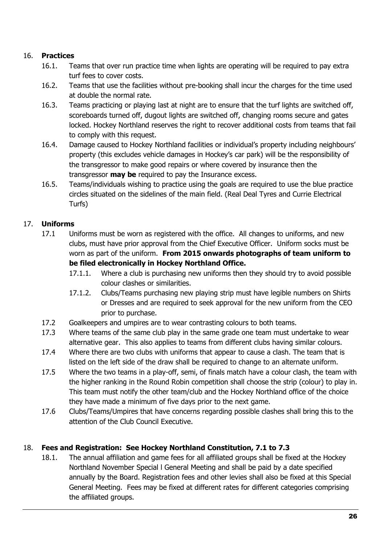#### <span id="page-25-0"></span>16. **Practices**

- 16.1. Teams that over run practice time when lights are operating will be required to pay extra turf fees to cover costs.
- 16.2. Teams that use the facilities without pre-booking shall incur the charges for the time used at double the normal rate.
- 16.3. Teams practicing or playing last at night are to ensure that the turf lights are switched off, scoreboards turned off, dugout lights are switched off, changing rooms secure and gates locked. Hockey Northland reserves the right to recover additional costs from teams that fail to comply with this request.
- 16.4. Damage caused to Hockey Northland facilities or individual's property including neighbours' property (this excludes vehicle damages in Hockey's car park) will be the responsibility of the transgressor to make good repairs or where covered by insurance then the transgressor **may be** required to pay the Insurance excess.
- 16.5. Teams/individuals wishing to practice using the goals are required to use the blue practice circles situated on the sidelines of the main field. (Real Deal Tyres and Currie Electrical Turfs)

#### <span id="page-25-1"></span>17. **Uniforms**

- 17.1 Uniforms must be worn as registered with the office. All changes to uniforms, and new clubs, must have prior approval from the Chief Executive Officer. Uniform socks must be worn as part of the uniform. **From 2015 onwards photographs of team uniform to be filed electronically in Hockey Northland Office.**
	- 17.1.1. Where a club is purchasing new uniforms then they should try to avoid possible colour clashes or similarities.
	- 17.1.2. Clubs/Teams purchasing new playing strip must have legible numbers on Shirts or Dresses and are required to seek approval for the new uniform from the CEO prior to purchase.
- 17.2 Goalkeepers and umpires are to wear contrasting colours to both teams.
- 17.3 Where teams of the same club play in the same grade one team must undertake to wear alternative gear. This also applies to teams from different clubs having similar colours.
- 17.4 Where there are two clubs with uniforms that appear to cause a clash. The team that is listed on the left side of the draw shall be required to change to an alternate uniform.
- 17.5 Where the two teams in a play-off, semi, of finals match have a colour clash, the team with the higher ranking in the Round Robin competition shall choose the strip (colour) to play in. This team must notify the other team/club and the Hockey Northland office of the choice they have made a minimum of five days prior to the next game.
- 17.6 Clubs/Teams/Umpires that have concerns regarding possible clashes shall bring this to the attention of the Club Council Executive.

#### <span id="page-25-3"></span><span id="page-25-2"></span>18. **Fees and Registration: See Hockey Northland Constitution, 7.1 to 7.3**

18.1. The annual affiliation and game fees for all affiliated groups shall be fixed at the Hockey Northland November Special l General Meeting and shall be paid by a date specified annually by the Board. Registration fees and other levies shall also be fixed at this Special General Meeting. Fees may be fixed at different rates for different categories comprising the affiliated groups.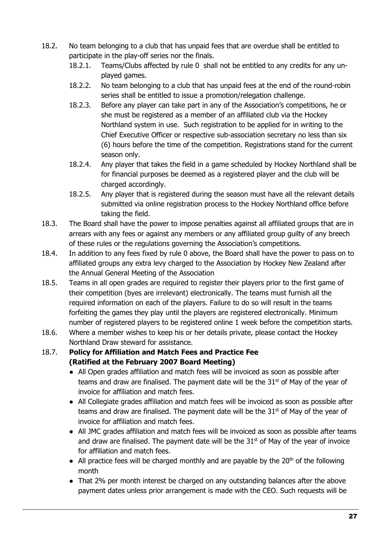- <span id="page-26-0"></span>18.2. No team belonging to a club that has unpaid fees that are overdue shall be entitled to participate in the play-off series nor the finals.
	- 18.2.1. Teams/Clubs affected by rule [0](#page-26-0) shall not be entitled to any credits for any unplayed games.
	- 18.2.2. No team belonging to a club that has unpaid fees at the end of the round-robin series shall be entitled to issue a promotion/relegation challenge.
	- 18.2.3. Before any player can take part in any of the Association's competitions, he or she must be registered as a member of an affiliated club via the Hockey Northland system in use. Such registration to be applied for in writing to the Chief Executive Officer or respective sub-association secretary no less than six (6) hours before the time of the competition. Registrations stand for the current season only.
	- 18.2.4. Any player that takes the field in a game scheduled by Hockey Northland shall be for financial purposes be deemed as a registered player and the club will be charged accordingly.
	- 18.2.5. Any player that is registered during the season must have all the relevant details submitted via online registration process to the Hockey Northland office before taking the field.
- 18.3. The Board shall have the power to impose penalties against all affiliated groups that are in arrears with any fees or against any members or any affiliated group guilty of any breech of these rules or the regulations governing the Association's competitions.
- 18.4. In addition to any fees fixed by rule [0](#page-25-3) above, the Board shall have the power to pass on to affiliated groups any extra levy charged to the Association by Hockey New Zealand after the Annual General Meeting of the Association
- 18.5. Teams in all open grades are required to register their players prior to the first game of their competition (byes are irrelevant) electronically. The teams must furnish all the required information on each of the players. Failure to do so will result in the teams forfeiting the games they play until the players are registered electronically. Minimum number of registered players to be registered online 1 week before the competition starts.
- 18.6. Where a member wishes to keep his or her details private, please contact the Hockey Northland Draw steward for assistance.
- 18.7. **Policy for Affiliation and Match Fees and Practice Fee (Ratified at the February 2007 Board Meeting)**
	- All Open grades affiliation and match fees will be invoiced as soon as possible after teams and draw are finalised. The payment date will be the  $31<sup>st</sup>$  of May of the year of invoice for affiliation and match fees.
	- All Collegiate grades affiliation and match fees will be invoiced as soon as possible after teams and draw are finalised. The payment date will be the  $31<sup>st</sup>$  of May of the year of invoice for affiliation and match fees.
	- All JMC grades affiliation and match fees will be invoiced as soon as possible after teams and draw are finalised. The payment date will be the  $31<sup>st</sup>$  of May of the year of invoice for affiliation and match fees.
	- All practice fees will be charged monthly and are payable by the  $20<sup>th</sup>$  of the following month
	- That 2% per month interest be charged on any outstanding balances after the above payment dates unless prior arrangement is made with the CEO. Such requests will be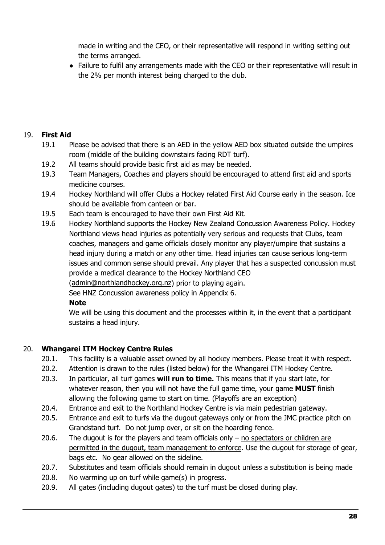made in writing and the CEO, or their representative will respond in writing setting out the terms arranged.

● Failure to fulfil any arrangements made with the CEO or their representative will result in the 2% per month interest being charged to the club.

#### <span id="page-27-0"></span>19. **First Aid**

- 19.1 Please be advised that there is an AED in the yellow AED box situated outside the umpires room (middle of the building downstairs facing RDT turf).
- 19.2 All teams should provide basic first aid as may be needed.
- 19.3 Team Managers, Coaches and players should be encouraged to attend first aid and sports medicine courses.
- 19.4 Hockey Northland will offer Clubs a Hockey related First Aid Course early in the season. Ice should be available from canteen or bar.
- 19.5 Each team is encouraged to have their own First Aid Kit.
- 19.6 Hockey Northland supports the Hockey New Zealand Concussion Awareness Policy. Hockey Northland views head injuries as potentially very serious and requests that Clubs, team coaches, managers and game officials closely monitor any player/umpire that sustains a head injury during a match or any other time. Head injuries can cause serious long-term issues and common sense should prevail. Any player that has a suspected concussion must provide a medical clearance to the Hockey Northland CEO

[\(admin@northlandhockey.org.nz\)](mailto:admin@northlandhockey.org.nz) prior to playing again.

See HNZ Concussion awareness policy in Appendix 6.

#### **Note**

We will be using this document and the processes within it, in the event that a participant sustains a head injury.

#### <span id="page-27-1"></span>20. **Whangarei ITM Hockey Centre Rules**

- 20.1. This facility is a valuable asset owned by all hockey members. Please treat it with respect.
- 20.2. Attention is drawn to the rules (listed below) for the Whangarei ITM Hockey Centre.
- 20.3. In particular, all turf games **will run to time.** This means that if you start late, for whatever reason, then you will not have the full game time, your game **MUST** finish allowing the following game to start on time. (Playoffs are an exception)
- 20.4. Entrance and exit to the Northland Hockey Centre is via main pedestrian gateway.
- 20.5. Entrance and exit to turfs via the dugout gateways only or from the JMC practice pitch on Grandstand turf. Do not jump over, or sit on the hoarding fence.
- 20.6. The dugout is for the players and team officials only  $-$  no spectators or children are permitted in the dugout, team management to enforce. Use the dugout for storage of gear, bags etc. No gear allowed on the sideline.
- 20.7. Substitutes and team officials should remain in dugout unless a substitution is being made
- 20.8. No warming up on turf while game(s) in progress.
- 20.9. All gates (including dugout gates) to the turf must be closed during play.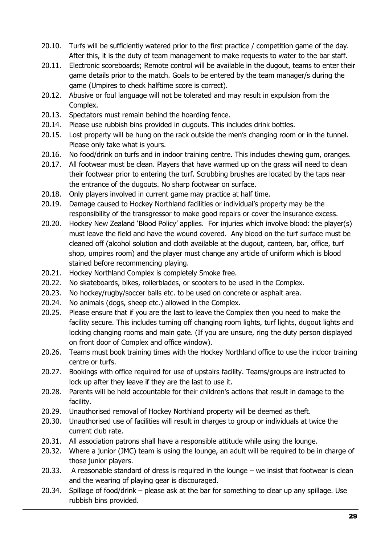- 20.10. Turfs will be sufficiently watered prior to the first practice / competition game of the day. After this, it is the duty of team management to make requests to water to the bar staff.
- 20.11. Electronic scoreboards; Remote control will be available in the dugout, teams to enter their game details prior to the match. Goals to be entered by the team manager/s during the game (Umpires to check halftime score is correct).
- 20.12. Abusive or foul language will not be tolerated and may result in expulsion from the Complex.
- 20.13. Spectators must remain behind the hoarding fence.
- 20.14. Please use rubbish bins provided in dugouts. This includes drink bottles.
- 20.15. Lost property will be hung on the rack outside the men's changing room or in the tunnel. Please only take what is yours.
- 20.16. No food/drink on turfs and in indoor training centre. This includes chewing gum, oranges.
- 20.17. All footwear must be clean. Players that have warmed up on the grass will need to clean their footwear prior to entering the turf. Scrubbing brushes are located by the taps near the entrance of the dugouts. No sharp footwear on surface.
- 20.18. Only players involved in current game may practice at half time.
- 20.19. Damage caused to Hockey Northland facilities or individual's property may be the responsibility of the transgressor to make good repairs or cover the insurance excess.
- 20.20. Hockey New Zealand 'Blood Policy' applies. For injuries which involve blood: the player(s) must leave the field and have the wound covered. Any blood on the turf surface must be cleaned off (alcohol solution and cloth available at the dugout, canteen, bar, office, turf shop, umpires room) and the player must change any article of uniform which is blood stained before recommencing playing.
- 20.21. Hockey Northland Complex is completely Smoke free.
- 20.22. No skateboards, bikes, rollerblades, or scooters to be used in the Complex.
- 20.23. No hockey/rugby/soccer balls etc. to be used on concrete or asphalt area.
- 20.24. No animals (dogs, sheep etc.) allowed in the Complex.
- 20.25. Please ensure that if you are the last to leave the Complex then you need to make the facility secure. This includes turning off changing room lights, turf lights, dugout lights and locking changing rooms and main gate. (If you are unsure, ring the duty person displayed on front door of Complex and office window).
- 20.26. Teams must book training times with the Hockey Northland office to use the indoor training centre or turfs.
- 20.27. Bookings with office required for use of upstairs facility. Teams/groups are instructed to lock up after they leave if they are the last to use it.
- 20.28. Parents will be held accountable for their children's actions that result in damage to the facility.
- 20.29. Unauthorised removal of Hockey Northland property will be deemed as theft.
- 20.30. Unauthorised use of facilities will result in charges to group or individuals at twice the current club rate.
- 20.31. All association patrons shall have a responsible attitude while using the lounge.
- 20.32. Where a junior (JMC) team is using the lounge, an adult will be required to be in charge of those junior players.
- 20.33. A reasonable standard of dress is required in the lounge we insist that footwear is clean and the wearing of playing gear is discouraged.
- 20.34. Spillage of food/drink please ask at the bar for something to clear up any spillage. Use rubbish bins provided.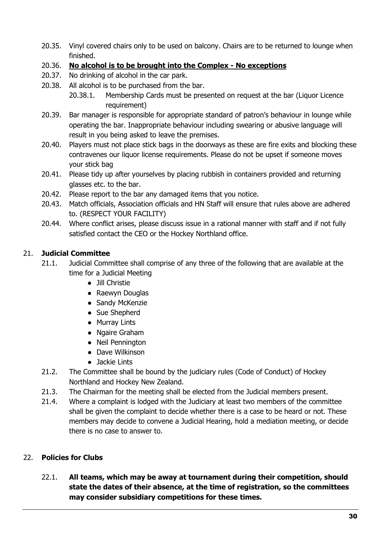- 20.35. Vinyl covered chairs only to be used on balcony. Chairs are to be returned to lounge when finished.
- 20.36. **No alcohol is to be brought into the Complex No exceptions**
- 20.37. No drinking of alcohol in the car park.
- 20.38. All alcohol is to be purchased from the bar.
	- 20.38.1. Membership Cards must be presented on request at the bar (Liquor Licence requirement)
- 20.39. Bar manager is responsible for appropriate standard of patron's behaviour in lounge while operating the bar. Inappropriate behaviour including swearing or abusive language will result in you being asked to leave the premises.
- 20.40. Players must not place stick bags in the doorways as these are fire exits and blocking these contravenes our liquor license requirements. Please do not be upset if someone moves your stick bag
- 20.41. Please tidy up after yourselves by placing rubbish in containers provided and returning glasses etc. to the bar.
- 20.42. Please report to the bar any damaged items that you notice.
- 20.43. Match officials, Association officials and HN Staff will ensure that rules above are adhered to. (RESPECT YOUR FACILITY)
- 20.44. Where conflict arises, please discuss issue in a rational manner with staff and if not fully satisfied contact the CEO or the Hockey Northland office.

#### <span id="page-29-0"></span>21. **Judicial Committee**

- 21.1. Judicial Committee shall comprise of any three of the following that are available at the time for a Judicial Meeting
	- Jill Christie
	- Raewyn Douglas
	- Sandy McKenzie
	- Sue Shepherd
	- Murray Lints
	- Ngaire Graham
	- Neil Pennington
	- Dave Wilkinson
	- Jackie Lints
- 21.2. The Committee shall be bound by the judiciary rules (Code of Conduct) of Hockey Northland and Hockey New Zealand.
- 21.3. The Chairman for the meeting shall be elected from the Judicial members present.
- 21.4. Where a complaint is lodged with the Judiciary at least two members of the committee shall be given the complaint to decide whether there is a case to be heard or not. These members may decide to convene a Judicial Hearing, hold a mediation meeting, or decide there is no case to answer to.

#### <span id="page-29-1"></span>22. **Policies for Clubs**

22.1. **All teams, which may be away at tournament during their competition, should state the dates of their absence, at the time of registration, so the committees may consider subsidiary competitions for these times.**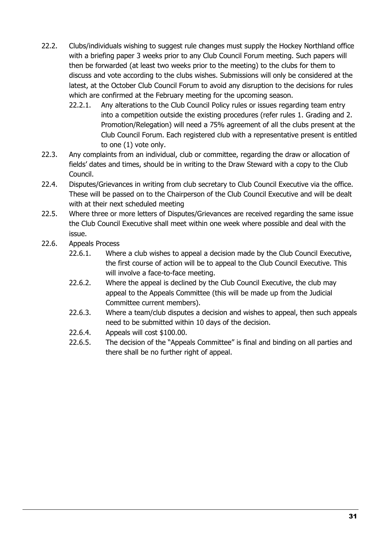- 22.2. Clubs/individuals wishing to suggest rule changes must supply the Hockey Northland office with a briefing paper 3 weeks prior to any Club Council Forum meeting. Such papers will then be forwarded (at least two weeks prior to the meeting) to the clubs for them to discuss and vote according to the clubs wishes. Submissions will only be considered at the latest, at the October Club Council Forum to avoid any disruption to the decisions for rules which are confirmed at the February meeting for the upcoming season.
	- 22.2.1. Any alterations to the Club Council Policy rules or issues regarding team entry into a competition outside the existing procedures (refer rules 1. Grading and 2. Promotion/Relegation) will need a 75% agreement of all the clubs present at the Club Council Forum. Each registered club with a representative present is entitled to one (1) vote only.
- 22.3. Any complaints from an individual, club or committee, regarding the draw or allocation of fields' dates and times, should be in writing to the Draw Steward with a copy to the Club Council.
- 22.4. Disputes/Grievances in writing from club secretary to Club Council Executive via the office. These will be passed on to the Chairperson of the Club Council Executive and will be dealt with at their next scheduled meeting
- 22.5. Where three or more letters of Disputes/Grievances are received regarding the same issue the Club Council Executive shall meet within one week where possible and deal with the issue.
- 22.6. Appeals Process
	- 22.6.1. Where a club wishes to appeal a decision made by the Club Council Executive, the first course of action will be to appeal to the Club Council Executive. This will involve a face-to-face meeting.
	- 22.6.2. Where the appeal is declined by the Club Council Executive, the club may appeal to the Appeals Committee (this will be made up from the Judicial Committee current members).
	- 22.6.3. Where a team/club disputes a decision and wishes to appeal, then such appeals need to be submitted within 10 days of the decision.
	- 22.6.4. Appeals will cost \$100.00.
	- 22.6.5. The decision of the "Appeals Committee" is final and binding on all parties and there shall be no further right of appeal.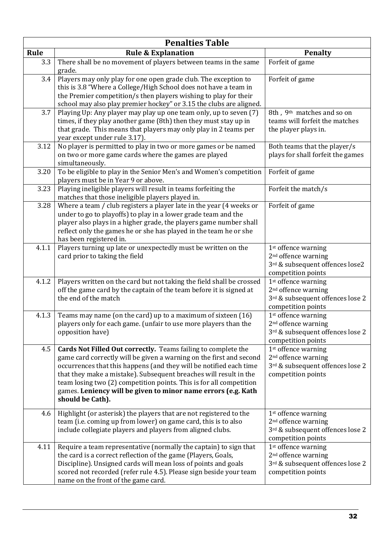| <b>Penalties Table</b> |                                                                                                                                                                                                                                                                                                                                                                                                                                             |                                                                                                                              |  |
|------------------------|---------------------------------------------------------------------------------------------------------------------------------------------------------------------------------------------------------------------------------------------------------------------------------------------------------------------------------------------------------------------------------------------------------------------------------------------|------------------------------------------------------------------------------------------------------------------------------|--|
| Rule                   | <b>Rule &amp; Explanation</b>                                                                                                                                                                                                                                                                                                                                                                                                               | <b>Penalty</b>                                                                                                               |  |
| 3.3                    | There shall be no movement of players between teams in the same<br>grade.                                                                                                                                                                                                                                                                                                                                                                   | Forfeit of game                                                                                                              |  |
| 3.4                    | Players may only play for one open grade club. The exception to<br>this is 3.8 "Where a College/High School does not have a team in<br>the Premier competition/s then players wishing to play for their<br>school may also play premier hockey" or 3.15 the clubs are aligned.                                                                                                                                                              | Forfeit of game                                                                                                              |  |
| 3.7                    | Playing Up: Any player may play up one team only, up to seven (7)<br>times, if they play another game (8th) then they must stay up in<br>that grade. This means that players may only play in 2 teams per<br>year except under rule 3.17).                                                                                                                                                                                                  | 8th, 9 <sup>th</sup> matches and so on<br>teams will forfeit the matches<br>the player plays in.                             |  |
| 3.12                   | No player is permitted to play in two or more games or be named<br>on two or more game cards where the games are played<br>simultaneously.                                                                                                                                                                                                                                                                                                  | Both teams that the player/s<br>plays for shall forfeit the games                                                            |  |
| 3.20                   | To be eligible to play in the Senior Men's and Women's competition<br>players must be in Year 9 or above.                                                                                                                                                                                                                                                                                                                                   | Forfeit of game                                                                                                              |  |
| 3.23                   | Playing ineligible players will result in teams forfeiting the<br>matches that those ineligible players played in.                                                                                                                                                                                                                                                                                                                          | Forfeit the match/s                                                                                                          |  |
| 3.28                   | Where a team / club registers a player late in the year (4 weeks or<br>under to go to playoffs) to play in a lower grade team and the<br>player also plays in a higher grade, the players game number shall<br>reflect only the games he or she has played in the team he or she<br>has been registered in.                                                                                                                                 | Forfeit of game                                                                                                              |  |
| 4.1.1                  | Players turning up late or unexpectedly must be written on the<br>card prior to taking the field                                                                                                                                                                                                                                                                                                                                            | 1 <sup>st</sup> offence warning<br>2 <sup>nd</sup> offence warning<br>3rd & subsequent offences lose2<br>competition points  |  |
| 4.1.2                  | Players written on the card but not taking the field shall be crossed<br>off the game card by the captain of the team before it is signed at<br>the end of the match                                                                                                                                                                                                                                                                        | 1 <sup>st</sup> offence warning<br>2 <sup>nd</sup> offence warning<br>3rd & subsequent offences lose 2<br>competition points |  |
| 4.1.3                  | Teams may name (on the card) up to a maximum of sixteen (16)<br>players only for each game. (unfair to use more players than the<br>opposition have)                                                                                                                                                                                                                                                                                        | 1 <sup>st</sup> offence warning<br>2 <sup>nd</sup> offence warning<br>3rd & subsequent offences lose 2<br>competition points |  |
| 4.5                    | Cards Not Filled Out correctly. Teams failing to complete the<br>game card correctly will be given a warning on the first and second<br>occurrences that this happens (and they will be notified each time<br>that they make a mistake). Subsequent breaches will result in the<br>team losing two (2) competition points. This is for all competition<br>games. Leniency will be given to minor name errors (e.g. Kath<br>should be Cath). | 1st offence warning<br>2 <sup>nd</sup> offence warning<br>3rd & subsequent offences lose 2<br>competition points             |  |
| 4.6                    | Highlight (or asterisk) the players that are not registered to the<br>team (i.e. coming up from lower) on game card, this is to also<br>include collegiate players and players from aligned clubs.                                                                                                                                                                                                                                          | 1 <sup>st</sup> offence warning<br>2 <sup>nd</sup> offence warning<br>3rd & subsequent offences lose 2<br>competition points |  |
| 4.11                   | Require a team representative (normally the captain) to sign that<br>the card is a correct reflection of the game (Players, Goals,<br>Discipline). Unsigned cards will mean loss of points and goals<br>scored not recorded (refer rule 4.5). Please sign beside your team<br>name on the front of the game card.                                                                                                                           | 1 <sup>st</sup> offence warning<br>2 <sup>nd</sup> offence warning<br>3rd & subsequent offences lose 2<br>competition points |  |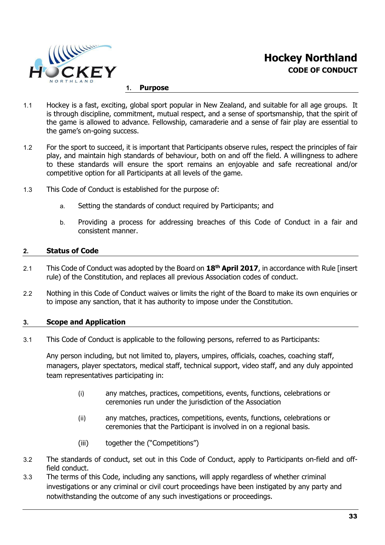

#### <span id="page-32-0"></span>**1. Purpose**

- 1.1 Hockey is a fast, exciting, global sport popular in New Zealand, and suitable for all age groups. It is through discipline, commitment, mutual respect, and a sense of sportsmanship, that the spirit of the game is allowed to advance. Fellowship, camaraderie and a sense of fair play are essential to the game's on-going success.
- 1.2 For the sport to succeed, it is important that Participants observe rules, respect the principles of fair play, and maintain high standards of behaviour, both on and off the field. A willingness to adhere to these standards will ensure the sport remains an enjoyable and safe recreational and/or competitive option for all Participants at all levels of the game.
- 1.3 This Code of Conduct is established for the purpose of:
	- a. Setting the standards of conduct required by Participants; and
	- b. Providing a process for addressing breaches of this Code of Conduct in a fair and consistent manner.

#### **2. Status of Code**

- 2.1 This Code of Conduct was adopted by the Board on **18th April 2017**, in accordance with Rule [insert rule) of the Constitution, and replaces all previous Association codes of conduct.
- 2.2 Nothing in this Code of Conduct waives or limits the right of the Board to make its own enquiries or to impose any sanction, that it has authority to impose under the Constitution.

#### <span id="page-32-1"></span>**3. Scope and Application**

3.1 This Code of Conduct is applicable to the following persons, referred to as Participants:

Any person including, but not limited to, players, umpires, officials, coaches, coaching staff, managers, player spectators, medical staff, technical support, video staff, and any duly appointed team representatives participating in:

- (i) any matches, practices, competitions, events, functions, celebrations or ceremonies run under the jurisdiction of the Association
- (ii) any matches, practices, competitions, events, functions, celebrations or ceremonies that the Participant is involved in on a regional basis.
- (iii) together the ("Competitions")
- 3.2 The standards of conduct, set out in this Code of Conduct, apply to Participants on-field and offfield conduct.
- 3.3 The terms of this Code, including any sanctions, will apply regardless of whether criminal investigations or any criminal or civil court proceedings have been instigated by any party and notwithstanding the outcome of any such investigations or proceedings.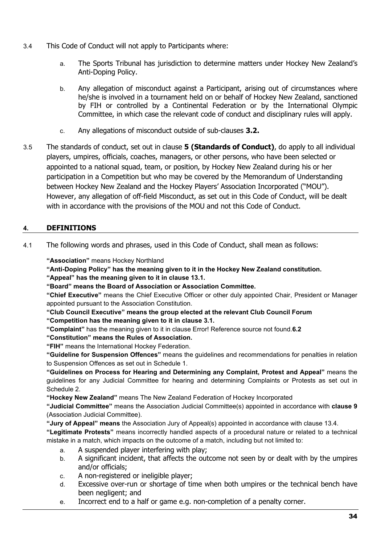- 3.4 This Code of Conduct will not apply to Participants where:
	- a. The Sports Tribunal has jurisdiction to determine matters under Hockey New Zealand's Anti-Doping Policy.
	- b. Any allegation of misconduct against a Participant, arising out of circumstances where he/she is involved in a tournament held on or behalf of Hockey New Zealand, sanctioned by FIH or controlled by a Continental Federation or by the International Olympic Committee, in which case the relevant code of conduct and disciplinary rules will apply.
	- c. Any allegations of misconduct outside of sub-clauses **3.2.**
- 3.5 The standards of conduct, set out in clause **5 (Standards of Conduct)**, do apply to all individual players, umpires, officials, coaches, managers, or other persons, who have been selected or appointed to a national squad, team, or position, by Hockey New Zealand during his or her participation in a Competition but who may be covered by the Memorandum of Understanding between Hockey New Zealand and the Hockey Players' Association Incorporated ("MOU"). However, any allegation of off-field Misconduct, as set out in this Code of Conduct, will be dealt with in accordance with the provisions of the MOU and not this Code of Conduct.

#### **4. DEFINITIONS**

4.1 The following words and phrases, used in this Code of Conduct, shall mean as follows:

**"Association"** means Hockey Northland

**"Anti-Doping Policy" has the meaning given to it in the Hockey New Zealand constitution.**

**"Appeal" has the meaning given to it in clause 13.1.**

**"Board" means the Board of Association or Association Committee.**

**"Chief Executive"** means the Chief Executive Officer or other duly appointed Chair, President or Manager appointed pursuant to the Association Constitution.

**"Club Council Executive" means the group elected at the relevant Club Council Forum**

**"Competition has the meaning given to it in clause 3.1.**

**"Complaint"** has the meaning given to it in clause Error! Reference source not found.**6.2**

**"Constitution" means the Rules of Association.**

**"FIH"** means the International Hockey Federation.

**"Guideline for Suspension Offences"** means the guidelines and recommendations for penalties in relation to Suspension Offences as set out in Schedule 1.

**"Guidelines on Process for Hearing and Determining any Complaint, Protest and Appeal"** means the guidelines for any Judicial Committee for hearing and determining Complaints or Protests as set out in Schedule 2.

**"Hockey New Zealand"** means The New Zealand Federation of Hockey Incorporated

**"Judicial Committee"** means the Association Judicial Committee(s) appointed in accordance with **clause 9** (Association Judicial Committee).

**"Jury of Appeal" means** the Association Jury of Appeal(s) appointed in accordance with clause 13.4.

**"Legitimate Protests"** means incorrectly handled aspects of a procedural nature or related to a technical mistake in a match, which impacts on the outcome of a match, including but not limited to:

- a. A suspended player interfering with play;
- b. A significant incident, that affects the outcome not seen by or dealt with by the umpires and/or officials;
- c. A non-registered or ineligible player;
- d. Excessive over-run or shortage of time when both umpires or the technical bench have been negligent; and
- e. Incorrect end to a half or game e.g. non-completion of a penalty corner.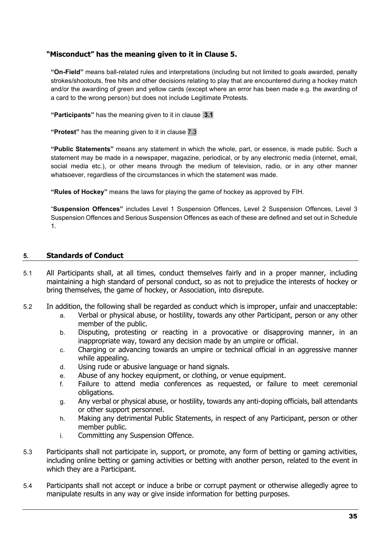#### **"Misconduct" has the meaning given to it in Clause 5.**

**"On-Field"** means ball-related rules and interpretations (including but not limited to goals awarded, penalty strokes/shootouts, free hits and other decisions relating to play that are encountered during a hockey match and/or the awarding of green and yellow cards (except where an error has been made e.g. the awarding of a card to the wrong person) but does not include Legitimate Protests.

**"Participants"** has the meaning given to it in clause **[3.1](#page-32-1)**

**"Protest"** has the meaning given to it in clause [7.3](#page-35-0)

**"Public Statements"** means any statement in which the whole, part, or essence, is made public. Such a statement may be made in a newspaper, magazine, periodical, or by any electronic media (internet, email, social media etc.), or other means through the medium of television, radio, or in any other manner whatsoever, regardless of the circumstances in which the statement was made.

**"Rules of Hockey"** means the laws for playing the game of hockey as approved by FIH.

"**Suspension Offences"** includes Level 1 Suspension Offences, Level 2 Suspension Offences, Level 3 Suspension Offences and Serious Suspension Offences as each of these are defined and set out in Schedule 1.

#### **5. Standards of Conduct**

- 5.1 All Participants shall, at all times, conduct themselves fairly and in a proper manner, including maintaining a high standard of personal conduct, so as not to prejudice the interests of hockey or bring themselves, the game of hockey, or Association, into disrepute.
- 5.2 In addition, the following shall be regarded as conduct which is improper, unfair and unacceptable:
	- a. Verbal or physical abuse, or hostility, towards any other Participant, person or any other member of the public.
	- b. Disputing, protesting or reacting in a provocative or disapproving manner, in an inappropriate way, toward any decision made by an umpire or official.
	- c. Charging or advancing towards an umpire or technical official in an aggressive manner while appealing.
	- d. Using rude or abusive language or hand signals.
	- e. Abuse of any hockey equipment, or clothing, or venue equipment.
	- f. Failure to attend media conferences as requested, or failure to meet ceremonial obligations.
	- g. Any verbal or physical abuse, or hostility, towards any anti-doping officials, ball attendants or other support personnel.
	- h. Making any detrimental Public Statements, in respect of any Participant, person or other member public.
	- i. Committing any Suspension Offence.
- 5.3 Participants shall not participate in, support, or promote, any form of betting or gaming activities, including online betting or gaming activities or betting with another person, related to the event in which they are a Participant.
- 5.4 Participants shall not accept or induce a bribe or corrupt payment or otherwise allegedly agree to manipulate results in any way or give inside information for betting purposes.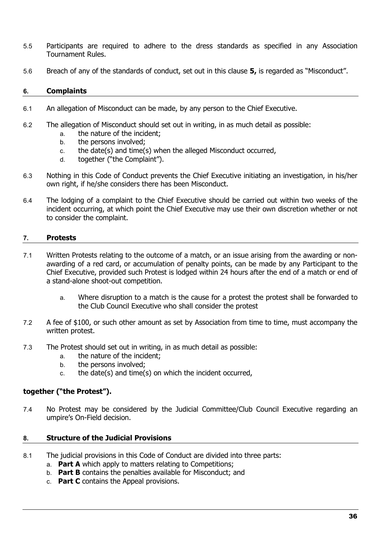- 5.5 Participants are required to adhere to the dress standards as specified in any Association Tournament Rules.
- 5.6 Breach of any of the standards of conduct, set out in this clause **5,** is regarded as "Misconduct".

#### **6. Complaints**

- 6.1 An allegation of Misconduct can be made, by any person to the Chief Executive.
- 6.2 The allegation of Misconduct should set out in writing, in as much detail as possible:
	- a. the nature of the incident;
	- b. the persons involved;
	- c. the date(s) and time(s) when the alleged Misconduct occurred,
	- d. together ("the Complaint").
- 6.3 Nothing in this Code of Conduct prevents the Chief Executive initiating an investigation, in his/her own right, if he/she considers there has been Misconduct.
- 6.4 The lodging of a complaint to the Chief Executive should be carried out within two weeks of the incident occurring, at which point the Chief Executive may use their own discretion whether or not to consider the complaint.

#### **7. Protests**

- 7.1 Written Protests relating to the outcome of a match, or an issue arising from the awarding or nonawarding of a red card, or accumulation of penalty points, can be made by any Participant to the Chief Executive, provided such Protest is lodged within 24 hours after the end of a match or end of a stand-alone shoot-out competition.
	- a. Where disruption to a match is the cause for a protest the protest shall be forwarded to the Club Council Executive who shall consider the protest
- 7.2 A fee of \$100, or such other amount as set by Association from time to time, must accompany the written protest.
- <span id="page-35-0"></span>7.3 The Protest should set out in writing, in as much detail as possible:
	- a. the nature of the incident;
	- b. the persons involved;
	- c. the date(s) and time(s) on which the incident occurred,

#### **together ("the Protest").**

7.4 No Protest may be considered by the Judicial Committee/Club Council Executive regarding an umpire's On-Field decision.

#### **8. Structure of the Judicial Provisions**

- 8.1 The judicial provisions in this Code of Conduct are divided into three parts:
	- a. **Part A** which apply to matters relating to Competitions;
	- b. **Part B** contains the penalties available for Misconduct; and
	- c. **Part C** contains the Appeal provisions.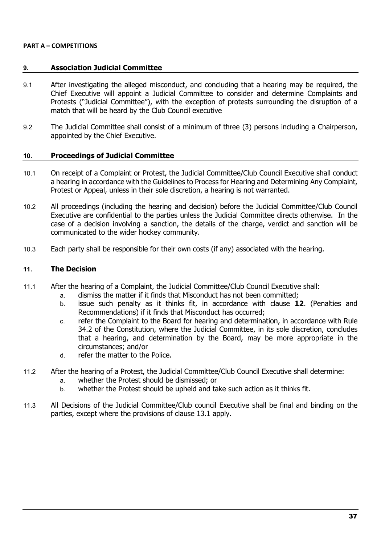#### **PART A – COMPETITIONS**

#### **9. Association Judicial Committee**

- 9.1 After investigating the alleged misconduct, and concluding that a hearing may be required, the Chief Executive will appoint a Judicial Committee to consider and determine Complaints and Protests ("Judicial Committee"), with the exception of protests surrounding the disruption of a match that will be heard by the Club Council executive
- 9.2 The Judicial Committee shall consist of a minimum of three (3) persons including a Chairperson, appointed by the Chief Executive.

#### **10. Proceedings of Judicial Committee**

- 10.1 On receipt of a Complaint or Protest, the Judicial Committee/Club Council Executive shall conduct a hearing in accordance with the Guidelines to Process for Hearing and Determining Any Complaint, Protest or Appeal, unless in their sole discretion, a hearing is not warranted.
- 10.2 All proceedings (including the hearing and decision) before the Judicial Committee/Club Council Executive are confidential to the parties unless the Judicial Committee directs otherwise. In the case of a decision involving a sanction, the details of the charge, verdict and sanction will be communicated to the wider hockey community.
- 10.3 Each party shall be responsible for their own costs (if any) associated with the hearing.

#### **11. The Decision**

- 11.1 After the hearing of a Complaint, the Judicial Committee/Club Council Executive shall:
	- a. dismiss the matter if it finds that Misconduct has not been committed;
	- b. issue such penalty as it thinks fit, in accordance with clause **12**. (Penalties and Recommendations) if it finds that Misconduct has occurred;
	- c. refer the Complaint to the Board for hearing and determination, in accordance with Rule 34.2 of the Constitution, where the Judicial Committee, in its sole discretion, concludes that a hearing, and determination by the Board, may be more appropriate in the circumstances; and/or
	- d. refer the matter to the Police.
- 11.2 After the hearing of a Protest, the Judicial Committee/Club Council Executive shall determine:
	- a. whether the Protest should be dismissed; or
	- b. whether the Protest should be upheld and take such action as it thinks fit.
- 11.3 All Decisions of the Judicial Committee/Club council Executive shall be final and binding on the parties, except where the provisions of clause 13.1 apply.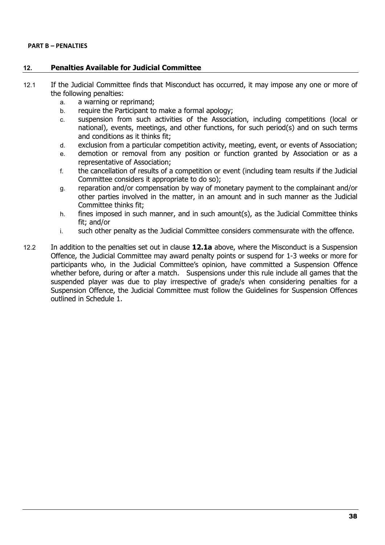#### **PART B – PENALTIES**

#### **12. Penalties Available for Judicial Committee**

- 12.1 If the Judicial Committee finds that Misconduct has occurred, it may impose any one or more of the following penalties:
	- a. a warning or reprimand;
	- b. require the Participant to make a formal apology;
	- c. suspension from such activities of the Association, including competitions (local or national), events, meetings, and other functions, for such period(s) and on such terms and conditions as it thinks fit;
	- d. exclusion from a particular competition activity, meeting, event, or events of Association;
	- e. demotion or removal from any position or function granted by Association or as a representative of Association;
	- f. the cancellation of results of a competition or event (including team results if the Judicial Committee considers it appropriate to do so);
	- g. reparation and/or compensation by way of monetary payment to the complainant and/or other parties involved in the matter, in an amount and in such manner as the Judicial Committee thinks fit;
	- h. fines imposed in such manner, and in such amount(s), as the Judicial Committee thinks fit; and/or
	- i. such other penalty as the Judicial Committee considers commensurate with the offence.
- 12.2 In addition to the penalties set out in clause **12.1a** above, where the Misconduct is a Suspension Offence, the Judicial Committee may award penalty points or suspend for 1-3 weeks or more for participants who, in the Judicial Committee's opinion, have committed a Suspension Offence whether before, during or after a match. Suspensions under this rule include all games that the suspended player was due to play irrespective of grade/s when considering penalties for a Suspension Offence, the Judicial Committee must follow the Guidelines for Suspension Offences outlined in Schedule 1.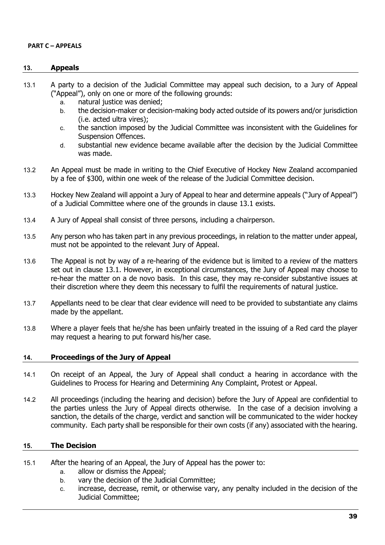#### **PART C – APPEALS**

#### **13. Appeals**

- 13.1 A party to a decision of the Judicial Committee may appeal such decision, to a Jury of Appeal ("Appeal"), only on one or more of the following grounds:
	- a. natural justice was denied:
	- b. the decision-maker or decision-making body acted outside of its powers and/or jurisdiction (i.e. acted ultra vires);
	- c. the sanction imposed by the Judicial Committee was inconsistent with the Guidelines for Suspension Offences.
	- d. substantial new evidence became available after the decision by the Judicial Committee was made.
- 13.2 An Appeal must be made in writing to the Chief Executive of Hockey New Zealand accompanied by a fee of \$300, within one week of the release of the Judicial Committee decision.
- 13.3 Hockey New Zealand will appoint a Jury of Appeal to hear and determine appeals ("Jury of Appeal") of a Judicial Committee where one of the grounds in clause 13.1 exists.
- 13.4 A Jury of Appeal shall consist of three persons, including a chairperson.
- 13.5 Any person who has taken part in any previous proceedings, in relation to the matter under appeal, must not be appointed to the relevant Jury of Appeal.
- 13.6 The Appeal is not by way of a re-hearing of the evidence but is limited to a review of the matters set out in clause 13.1. However, in exceptional circumstances, the Jury of Appeal may choose to re-hear the matter on a de novo basis. In this case, they may re-consider substantive issues at their discretion where they deem this necessary to fulfil the requirements of natural justice.
- 13.7 Appellants need to be clear that clear evidence will need to be provided to substantiate any claims made by the appellant.
- 13.8 Where a player feels that he/she has been unfairly treated in the issuing of a Red card the player may request a hearing to put forward his/her case.

#### **14. Proceedings of the Jury of Appeal**

- 14.1 On receipt of an Appeal, the Jury of Appeal shall conduct a hearing in accordance with the Guidelines to Process for Hearing and Determining Any Complaint, Protest or Appeal.
- 14.2 All proceedings (including the hearing and decision) before the Jury of Appeal are confidential to the parties unless the Jury of Appeal directs otherwise. In the case of a decision involving a sanction, the details of the charge, verdict and sanction will be communicated to the wider hockey community. Each party shall be responsible for their own costs (if any) associated with the hearing.

#### **15. The Decision**

- 15.1 After the hearing of an Appeal, the Jury of Appeal has the power to:
	- a. allow or dismiss the Appeal;
	- b. vary the decision of the Judicial Committee;
	- c. increase, decrease, remit, or otherwise vary, any penalty included in the decision of the Judicial Committee;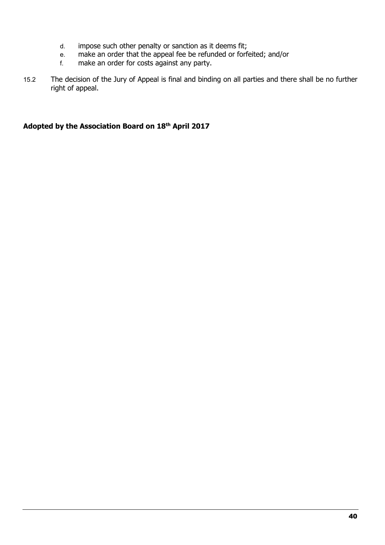- d. impose such other penalty or sanction as it deems fit;<br>e. make an order that the appeal fee be refunded or forf
- e. make an order that the appeal fee be refunded or forfeited; and/or<br>f. make an order for costs against any party.
- make an order for costs against any party.
- 15.2 The decision of the Jury of Appeal is final and binding on all parties and there shall be no further right of appeal.

#### **Adopted by the Association Board on 18th April 2017**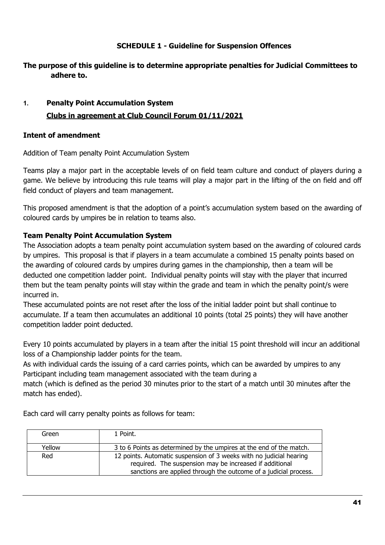#### **SCHEDULE 1 - Guideline for Suspension Offences**

#### <span id="page-40-0"></span>**The purpose of this guideline is to determine appropriate penalties for Judicial Committees to adhere to.**

#### **1. Penalty Point Accumulation System Clubs in agreement at Club Council Forum 01/11/2021**

#### **Intent of amendment**

Addition of Team penalty Point Accumulation System

Teams play a major part in the acceptable levels of on field team culture and conduct of players during a game. We believe by introducing this rule teams will play a major part in the lifting of the on field and off field conduct of players and team management.

This proposed amendment is that the adoption of a point's accumulation system based on the awarding of coloured cards by umpires be in relation to teams also.

#### **Team Penalty Point Accumulation System**

The Association adopts a team penalty point accumulation system based on the awarding of coloured cards by umpires. This proposal is that if players in a team accumulate a combined 15 penalty points based on the awarding of coloured cards by umpires during games in the championship, then a team will be deducted one competition ladder point. Individual penalty points will stay with the player that incurred them but the team penalty points will stay within the grade and team in which the penalty point/s were incurred in.

These accumulated points are not reset after the loss of the initial ladder point but shall continue to accumulate. If a team then accumulates an additional 10 points (total 25 points) they will have another competition ladder point deducted.

Every 10 points accumulated by players in a team after the initial 15 point threshold will incur an additional loss of a Championship ladder points for the team.

As with individual cards the issuing of a card carries points, which can be awarded by umpires to any Participant including team management associated with the team during a

match (which is defined as the period 30 minutes prior to the start of a match until 30 minutes after the match has ended).

| Green  | 1 Point.                                                                                                                                                                                           |
|--------|----------------------------------------------------------------------------------------------------------------------------------------------------------------------------------------------------|
| Yellow | 3 to 6 Points as determined by the umpires at the end of the match.                                                                                                                                |
| Red    | 12 points. Automatic suspension of 3 weeks with no judicial hearing<br>required. The suspension may be increased if additional<br>sanctions are applied through the outcome of a judicial process. |

Each card will carry penalty points as follows for team: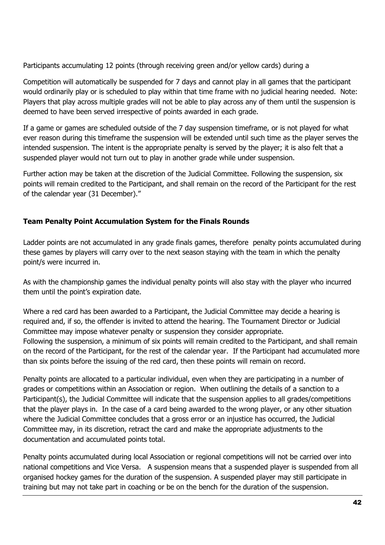Participants accumulating 12 points (through receiving green and/or yellow cards) during a

Competition will automatically be suspended for 7 days and cannot play in all games that the participant would ordinarily play or is scheduled to play within that time frame with no judicial hearing needed. Note: Players that play across multiple grades will not be able to play across any of them until the suspension is deemed to have been served irrespective of points awarded in each grade.

If a game or games are scheduled outside of the 7 day suspension timeframe, or is not played for what ever reason during this timeframe the suspension will be extended until such time as the player serves the intended suspension. The intent is the appropriate penalty is served by the player; it is also felt that a suspended player would not turn out to play in another grade while under suspension.

Further action may be taken at the discretion of the Judicial Committee. Following the suspension, six points will remain credited to the Participant, and shall remain on the record of the Participant for the rest of the calendar year (31 December)."

#### **Team Penalty Point Accumulation System for the Finals Rounds**

Ladder points are not accumulated in any grade finals games, therefore penalty points accumulated during these games by players will carry over to the next season staying with the team in which the penalty point/s were incurred in.

As with the championship games the individual penalty points will also stay with the player who incurred them until the point's expiration date.

Where a red card has been awarded to a Participant, the Judicial Committee may decide a hearing is required and, if so, the offender is invited to attend the hearing. The Tournament Director or Judicial Committee may impose whatever penalty or suspension they consider appropriate. Following the suspension, a minimum of six points will remain credited to the Participant, and shall remain on the record of the Participant, for the rest of the calendar year. If the Participant had accumulated more than six points before the issuing of the red card, then these points will remain on record.

Penalty points are allocated to a particular individual, even when they are participating in a number of grades or competitions within an Association or region. When outlining the details of a sanction to a Participant(s), the Judicial Committee will indicate that the suspension applies to all grades/competitions that the player plays in. In the case of a card being awarded to the wrong player, or any other situation where the Judicial Committee concludes that a gross error or an injustice has occurred, the Judicial Committee may, in its discretion, retract the card and make the appropriate adjustments to the documentation and accumulated points total.

Penalty points accumulated during local Association or regional competitions will not be carried over into national competitions and Vice Versa. A suspension means that a suspended player is suspended from all organised hockey games for the duration of the suspension. A suspended player may still participate in training but may not take part in coaching or be on the bench for the duration of the suspension.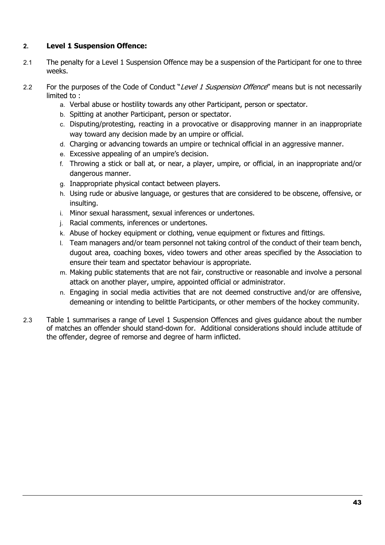#### **2. Level 1 Suspension Offence:**

- 2.1 The penalty for a Level 1 Suspension Offence may be a suspension of the Participant for one to three weeks.
- 2.2 For the purposes of the Code of Conduct "Level 1 Suspension Offence" means but is not necessarily limited to :
	- a. Verbal abuse or hostility towards any other Participant, person or spectator.
	- b. Spitting at another Participant, person or spectator.
	- c. Disputing/protesting, reacting in a provocative or disapproving manner in an inappropriate way toward any decision made by an umpire or official.
	- d. Charging or advancing towards an umpire or technical official in an aggressive manner.
	- e. Excessive appealing of an umpire's decision.
	- f. Throwing a stick or ball at, or near, a player, umpire, or official, in an inappropriate and/or dangerous manner.
	- g. Inappropriate physical contact between players.
	- h. Using rude or abusive language, or gestures that are considered to be obscene, offensive, or insulting.
	- i. Minor sexual harassment, sexual inferences or undertones.
	- j. Racial comments, inferences or undertones.
	- k. Abuse of hockey equipment or clothing, venue equipment or fixtures and fittings.
	- l. Team managers and/or team personnel not taking control of the conduct of their team bench, dugout area, coaching boxes, video towers and other areas specified by the Association to ensure their team and spectator behaviour is appropriate.
	- m. Making public statements that are not fair, constructive or reasonable and involve a personal attack on another player, umpire, appointed official or administrator.
	- n. Engaging in social media activities that are not deemed constructive and/or are offensive, demeaning or intending to belittle Participants, or other members of the hockey community.
- 2.3 Table 1 summarises a range of Level 1 Suspension Offences and gives guidance about the number of matches an offender should stand-down for. Additional considerations should include attitude of the offender, degree of remorse and degree of harm inflicted.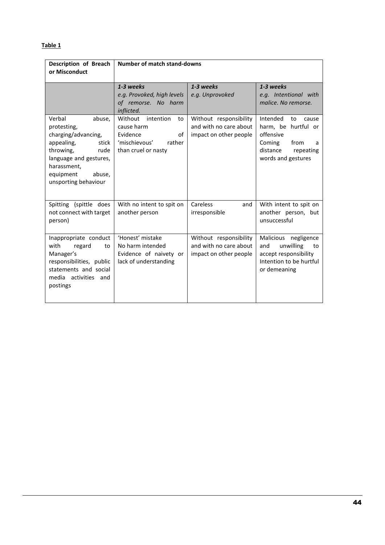#### **Table 1**

| Description of Breach<br>or Misconduct                                                                                                                                                     | <b>Number of match stand-downs</b>                                                                        |                                                                            |                                                                                                                                   |
|--------------------------------------------------------------------------------------------------------------------------------------------------------------------------------------------|-----------------------------------------------------------------------------------------------------------|----------------------------------------------------------------------------|-----------------------------------------------------------------------------------------------------------------------------------|
|                                                                                                                                                                                            | 1-3 weeks<br>e.g. Provoked, high levels<br>of remorse. No harm<br>inflicted.                              | 1-3 weeks<br>e.g. Unprovoked                                               | 1-3 weeks<br>e.g. Intentional with<br>malice. No remorse.                                                                         |
| Verbal<br>abuse,<br>protesting,<br>charging/advancing,<br>appealing,<br>stick<br>throwing,<br>rude<br>language and gestures,<br>harassment.<br>equipment<br>abuse,<br>unsporting behaviour | Without intention<br>to<br>cause harm<br>Evidence<br>of<br>'mischievous'<br>rather<br>than cruel or nasty | Without responsibility<br>and with no care about<br>impact on other people | Intended<br>to<br>cause<br>harm, be hurtful or<br>offensive<br>Coming<br>from<br>a<br>distance<br>repeating<br>words and gestures |
| Spitting (spittle does<br>not connect with target<br>person)                                                                                                                               | With no intent to spit on<br>another person                                                               | Careless<br>and<br>irresponsible                                           | With intent to spit on<br>another person, but<br>unsuccessful                                                                     |
| Inappropriate conduct<br>with<br>regard<br>to<br>Manager's<br>responsibilities, public<br>statements and social<br>media activities and<br>postings                                        | 'Honest' mistake<br>No harm intended<br>Evidence of naivety or<br>lack of understanding                   | Without responsibility<br>and with no care about<br>impact on other people | Malicious negligence<br>and<br>unwilling<br>to<br>accept responsibility<br>Intention to be hurtful<br>or demeaning                |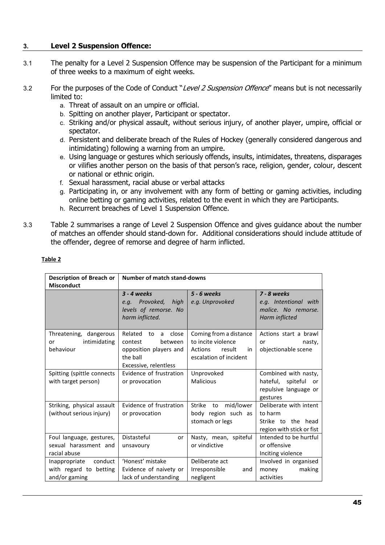#### **3. Level 2 Suspension Offence:**

- 3.1 The penalty for a Level 2 Suspension Offence may be suspension of the Participant for a minimum of three weeks to a maximum of eight weeks.
- 3.2 For the purposes of the Code of Conduct "Level 2 Suspension Offence" means but is not necessarily limited to:
	- a. Threat of assault on an umpire or official.
	- b. Spitting on another player, Participant or spectator.
	- c. Striking and/or physical assault, without serious injury, of another player, umpire, official or spectator.
	- d. Persistent and deliberate breach of the Rules of Hockey (generally considered dangerous and intimidating) following a warning from an umpire.
	- e. Using language or gestures which seriously offends, insults, intimidates, threatens, disparages or vilifies another person on the basis of that person's race, religion, gender, colour, descent or national or ethnic origin.
	- f. Sexual harassment, racial abuse or verbal attacks
	- g. Participating in, or any involvement with any form of betting or gaming activities, including online betting or gaming activities, related to the event in which they are Participants.
	- h. Recurrent breaches of Level 1 Suspension Offence.
- 3.3 Table 2 summarises a range of Level 2 Suspension Offence and gives guidance about the number of matches an offender should stand-down for. Additional considerations should include attitude of the offender, degree of remorse and degree of harm inflicted.

| Description of Breach or<br><b>Misconduct</b>                       | Number of match stand-downs                                                                                      |                                                                                                |                                                                                         |
|---------------------------------------------------------------------|------------------------------------------------------------------------------------------------------------------|------------------------------------------------------------------------------------------------|-----------------------------------------------------------------------------------------|
|                                                                     | $3 - 4$ weeks<br>e.g. Provoked,<br>high<br>levels of remorse. No<br>harm inflicted.                              | 5 - 6 weeks<br>e.g. Unprovoked                                                                 | 7 - 8 weeks<br>e.g. Intentional with<br>malice. No remorse.<br>Harm inflicted           |
| Threatening, dangerous<br>intimidating<br>or<br>behaviour           | Related<br>close<br>to<br>a<br>between<br>contest<br>opposition players and<br>the ball<br>Excessive, relentless | Coming from a distance<br>to incite violence<br>Actions result<br>in<br>escalation of incident | Actions start a brawl<br>nasty,<br>or<br>objectionable scene                            |
| Spitting (spittle connects<br>with target person)                   | Evidence of frustration<br>or provocation                                                                        | Unprovoked<br>Malicious                                                                        | Combined with nasty,<br>hateful,<br>spiteful<br>or<br>repulsive language or<br>gestures |
| Striking, physical assault<br>(without serious injury)              | Evidence of frustration<br>or provocation                                                                        | mid/lower<br>Strike<br>to<br>body region such as<br>stomach or legs                            | Deliberate with intent<br>to harm<br>Strike to the head<br>region with stick or fist    |
| Foul language, gestures,<br>sexual harassment and<br>racial abuse   | Distasteful<br>or<br>unsavoury                                                                                   | Nasty, mean, spiteful<br>or vindictive                                                         | Intended to be hurtful<br>or offensive<br>Inciting violence                             |
| conduct<br>Inappropriate<br>with regard to betting<br>and/or gaming | 'Honest' mistake<br>Evidence of naivety or<br>lack of understanding                                              | Deliberate act<br>Irresponsible<br>and<br>negligent                                            | Involved in organised<br>money<br>making<br>activities                                  |

#### **Table 2**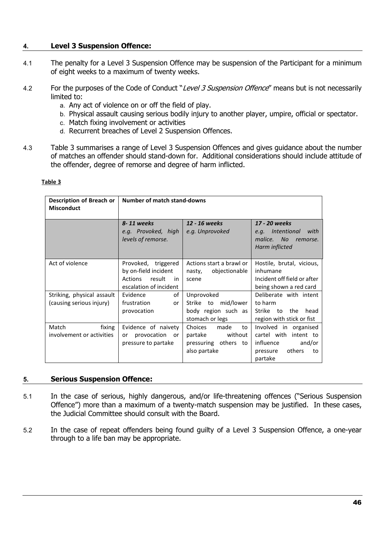#### **4. Level 3 Suspension Offence:**

- 4.1 The penalty for a Level 3 Suspension Offence may be suspension of the Participant for a minimum of eight weeks to a maximum of twenty weeks.
- 4.2 For the purposes of the Code of Conduct "Level 3 Suspension Offence" means but is not necessarily limited to:
	- a. Any act of violence on or off the field of play.
	- b. Physical assault causing serious bodily injury to another player, umpire, official or spectator.
	- c. Match fixing involvement or activities
	- d. Recurrent breaches of Level 2 Suspension Offences.
- 4.3 Table 3 summarises a range of Level 3 Suspension Offences and gives guidance about the number of matches an offender should stand-down for. Additional considerations should include attitude of the offender, degree of remorse and degree of harm inflicted.

#### **Table 3**

| Description of Breach or<br><b>Misconduct</b>          | <b>Number of match stand-downs</b>                                                                      |                                                                                        |                                                                                                                 |  |
|--------------------------------------------------------|---------------------------------------------------------------------------------------------------------|----------------------------------------------------------------------------------------|-----------------------------------------------------------------------------------------------------------------|--|
|                                                        | 8-11 weeks<br>e.g. Provoked, high<br>levels of remorse.                                                 | 12 - 16 weeks<br>e.g. Unprovoked                                                       | 17 - 20 weeks<br><i>Intentional</i><br>with<br>e.q.<br><b>No</b><br>malice.<br>remorse.<br>Harm inflicted       |  |
| Act of violence                                        | Provoked, triggered<br>by on-field incident<br>result<br><b>Actions</b><br>in<br>escalation of incident | Actions start a brawl or<br>objectionable<br>nasty,<br>scene                           | Hostile, brutal, vicious,<br>inhumane<br>Incident off field or after<br>being shown a red card                  |  |
| Striking, physical assault<br>(causing serious injury) | of<br>Evidence<br>frustration<br>or<br>provocation                                                      | Unprovoked<br>mid/lower<br>Strike to<br>body region such as<br>stomach or legs         | Deliberate with intent<br>to harm<br>Strike<br>to<br>the<br>head<br>region with stick or fist                   |  |
| Match<br>fixing<br>involvement or activities           | Evidence of naivety<br>provocation<br>or<br>or<br>pressure to partake                                   | Choices<br>made<br>to<br>without<br>partake<br>pressuring others<br>to<br>also partake | Involved in organised<br>cartel with<br>intent to<br>influence<br>and/or<br>others<br>pressure<br>to<br>partake |  |

#### **5. Serious Suspension Offence:**

- 5.1 In the case of serious, highly dangerous, and/or life-threatening offences ("Serious Suspension Offence") more than a maximum of a twenty-match suspension may be justified. In these cases, the Judicial Committee should consult with the Board.
- 5.2 In the case of repeat offenders being found guilty of a Level 3 Suspension Offence, a one-year through to a life ban may be appropriate.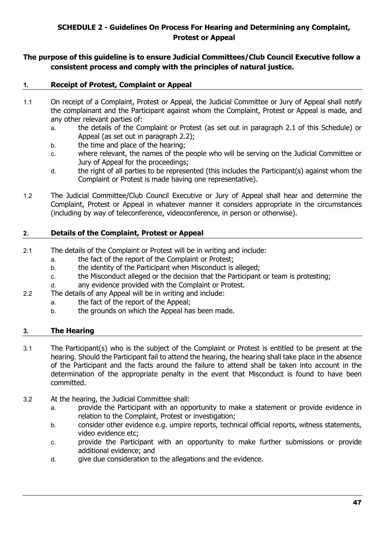#### **SCHEDULE 2 - Guidelines On Process For Hearing and Determining any Complaint, Protest or Appeal**

#### <span id="page-46-0"></span>**The purpose of this guideline is to ensure Judicial Committees/Club Council Executive follow a consistent process and comply with the principles of natural justice.**

#### **1. Receipt of Protest, Complaint or Appeal**

- 1.1 On receipt of a Complaint, Protest or Appeal, the Judicial Committee or Jury of Appeal shall notify the complainant and the Participant against whom the Complaint, Protest or Appeal is made, and any other relevant parties of:
	- a. the details of the Complaint or Protest (as set out in paragraph 2.1 of this Schedule) or Appeal (as set out in paragraph 2.2);
	- b. the time and place of the hearing;
	- c. where relevant, the names of the people who will be serving on the Judicial Committee or Jury of Appeal for the proceedings;
	- d. the right of all parties to be represented (this includes the Participant(s) against whom the Complaint or Protest is made having one representative).
- 1.2 The Judicial Committee/Club Council Executive or Jury of Appeal shall hear and determine the Complaint, Protest or Appeal in whatever manner it considers appropriate in the circumstances (including by way of teleconference, videoconference, in person or otherwise).

#### **2. Details of the Complaint, Protest or Appeal**

- 2.1 The details of the Complaint or Protest will be in writing and include:
	- a. the fact of the report of the Complaint or Protest;
	- b. the identity of the Participant when Misconduct is alleged;
	- c. the Misconduct alleged or the decision that the Participant or team is protesting;
	- d. any evidence provided with the Complaint or Protest.
- 2.2 The details of any Appeal will be in writing and include:
	- a. the fact of the report of the Appeal;
		- b. the grounds on which the Appeal has been made.

#### **3. The Hearing**

- 3.1 The Participant(s) who is the subject of the Complaint or Protest is entitled to be present at the hearing. Should the Participant fail to attend the hearing, the hearing shall take place in the absence of the Participant and the facts around the failure to attend shall be taken into account in the determination of the appropriate penalty in the event that Misconduct is found to have been committed.
- 3.2 At the hearing, the Judicial Committee shall:
	- a. provide the Participant with an opportunity to make a statement or provide evidence in relation to the Complaint, Protest or investigation;
	- b. consider other evidence e.g. umpire reports, technical official reports, witness statements, video evidence etc;
	- c. provide the Participant with an opportunity to make further submissions or provide additional evidence; and
	- d. give due consideration to the allegations and the evidence.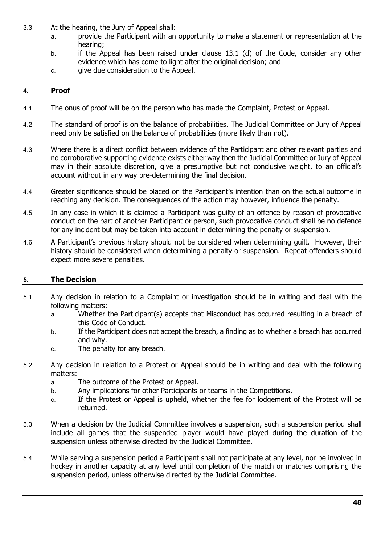- 3.3 At the hearing, the Jury of Appeal shall:
	- a. provide the Participant with an opportunity to make a statement or representation at the hearing;
	- b. if the Appeal has been raised under clause 13.1 (d) of the Code, consider any other evidence which has come to light after the original decision; and
	- c. give due consideration to the Appeal.

#### **4. Proof**

- 4.1 The onus of proof will be on the person who has made the Complaint, Protest or Appeal.
- 4.2 The standard of proof is on the balance of probabilities. The Judicial Committee or Jury of Appeal need only be satisfied on the balance of probabilities (more likely than not).
- 4.3 Where there is a direct conflict between evidence of the Participant and other relevant parties and no corroborative supporting evidence exists either way then the Judicial Committee or Jury of Appeal may in their absolute discretion, give a presumptive but not conclusive weight, to an official's account without in any way pre-determining the final decision.
- 4.4 Greater significance should be placed on the Participant's intention than on the actual outcome in reaching any decision. The consequences of the action may however, influence the penalty.
- 4.5 In any case in which it is claimed a Participant was guilty of an offence by reason of provocative conduct on the part of another Participant or person, such provocative conduct shall be no defence for any incident but may be taken into account in determining the penalty or suspension.
- 4.6 A Participant's previous history should not be considered when determining guilt. However, their history should be considered when determining a penalty or suspension. Repeat offenders should expect more severe penalties.

#### **5. The Decision**

- 5.1 Any decision in relation to a Complaint or investigation should be in writing and deal with the following matters:
	- a. Whether the Participant(s) accepts that Misconduct has occurred resulting in a breach of this Code of Conduct.
	- b. If the Participant does not accept the breach, a finding as to whether a breach has occurred and why.
	- c. The penalty for any breach.
- 5.2 Any decision in relation to a Protest or Appeal should be in writing and deal with the following matters:
	- a. The outcome of the Protest or Appeal.
	- b. Any implications for other Participants or teams in the Competitions.
	- c. If the Protest or Appeal is upheld, whether the fee for lodgement of the Protest will be returned.
- 5.3 When a decision by the Judicial Committee involves a suspension, such a suspension period shall include all games that the suspended player would have played during the duration of the suspension unless otherwise directed by the Judicial Committee.
- 5.4 While serving a suspension period a Participant shall not participate at any level, nor be involved in hockey in another capacity at any level until completion of the match or matches comprising the suspension period, unless otherwise directed by the Judicial Committee.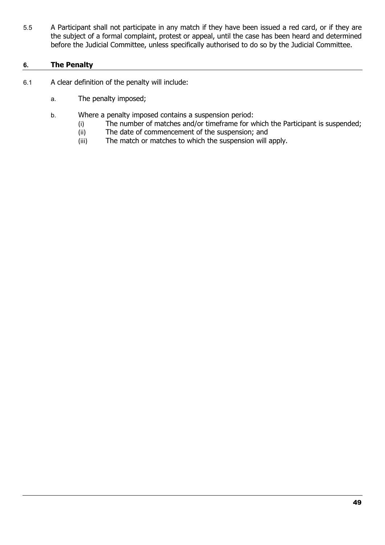5.5 A Participant shall not participate in any match if they have been issued a red card, or if they are the subject of a formal complaint, protest or appeal, until the case has been heard and determined before the Judicial Committee, unless specifically authorised to do so by the Judicial Committee.

#### **6. The Penalty**

- 6.1 A clear definition of the penalty will include:
	- a. The penalty imposed;
	- b. Where a penalty imposed contains a suspension period:
		- (i) The number of matches and/or timeframe for which the Participant is suspended;<br>(ii) The date of commencement of the suspension; and
		- (ii) The date of commencement of the suspension; and<br>(iii) The match or matches to which the suspension will
		- The match or matches to which the suspension will apply.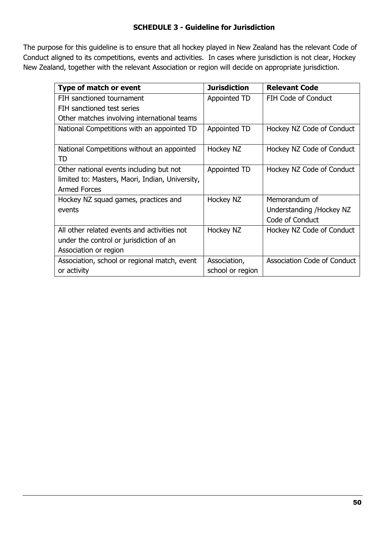#### **SCHEDULE 3 - Guideline for Jurisdiction**

<span id="page-49-0"></span>The purpose for this guideline is to ensure that all hockey played in New Zealand has the relevant Code of Conduct aligned to its competitions, events and activities. In cases where jurisdiction is not clear, Hockey New Zealand, together with the relevant Association or region will decide on appropriate jurisdiction.

| Type of match or event                           | <b>Jurisdiction</b> | <b>Relevant Code</b>        |
|--------------------------------------------------|---------------------|-----------------------------|
| FIH sanctioned tournament                        | Appointed TD        | <b>FIH Code of Conduct</b>  |
| FIH sanctioned test series                       |                     |                             |
| Other matches involving international teams      |                     |                             |
| National Competitions with an appointed TD       | Appointed TD        | Hockey NZ Code of Conduct   |
| National Competitions without an appointed<br>TD | Hockey NZ           | Hockey NZ Code of Conduct   |
| Other national events including but not          | Appointed TD        | Hockey NZ Code of Conduct   |
| limited to: Masters, Maori, Indian, University,  |                     |                             |
| <b>Armed Forces</b>                              |                     |                             |
| Hockey NZ squad games, practices and             | Hockey NZ           | Memorandum of               |
| events                                           |                     | Understanding /Hockey NZ    |
|                                                  |                     | Code of Conduct             |
| All other related events and activities not      | Hockey NZ           | Hockey NZ Code of Conduct   |
| under the control or jurisdiction of an          |                     |                             |
| Association or region                            |                     |                             |
| Association, school or regional match, event     | Association,        | Association Code of Conduct |
| or activity                                      | school or region    |                             |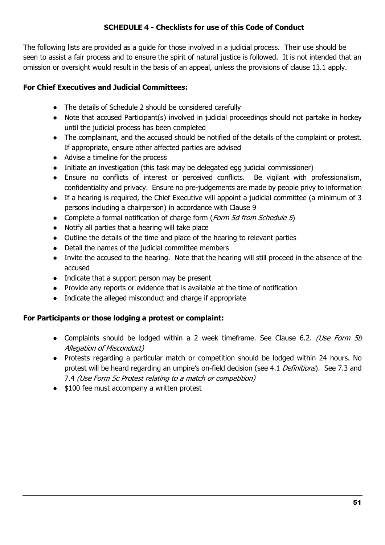#### **SCHEDULE 4 - Checklists for use of this Code of Conduct**

<span id="page-50-0"></span>The following lists are provided as a guide for those involved in a judicial process. Their use should be seen to assist a fair process and to ensure the spirit of natural justice is followed. It is not intended that an omission or oversight would result in the basis of an appeal, unless the provisions of clause 13.1 apply.

#### **For Chief Executives and Judicial Committees:**

- The details of Schedule 2 should be considered carefully
- Note that accused Participant(s) involved in judicial proceedings should not partake in hockey until the judicial process has been completed
- The complainant, and the accused should be notified of the details of the complaint or protest. If appropriate, ensure other affected parties are advised
- Advise a timeline for the process
- Initiate an investigation (this task may be delegated egg judicial commissioner)
- Ensure no conflicts of interest or perceived conflicts. Be vigilant with professionalism, confidentiality and privacy. Ensure no pre-judgements are made by people privy to information
- If a hearing is required, the Chief Executive will appoint a judicial committee (a minimum of 3 persons including a chairperson) in accordance with Clause 9
- Complete a formal notification of charge form (Form 5d from Schedule 5)
- Notify all parties that a hearing will take place
- Outline the details of the time and place of the hearing to relevant parties
- Detail the names of the judicial committee members
- Invite the accused to the hearing. Note that the hearing will still proceed in the absence of the accused
- Indicate that a support person may be present
- Provide any reports or evidence that is available at the time of notification
- Indicate the alleged misconduct and charge if appropriate

#### **For Participants or those lodging a protest or complaint:**

- Complaints should be lodged within a 2 week timeframe. See Clause 6.2. (Use Form 5b Allegation of Misconduct)
- Protests regarding a particular match or competition should be lodged within 24 hours. No protest will be heard regarding an umpire's on-field decision (see 4.1 Definitions). See 7.3 and 7.4 (Use Form 5c Protest relating to a match or competition)
- \$100 fee must accompany a written protest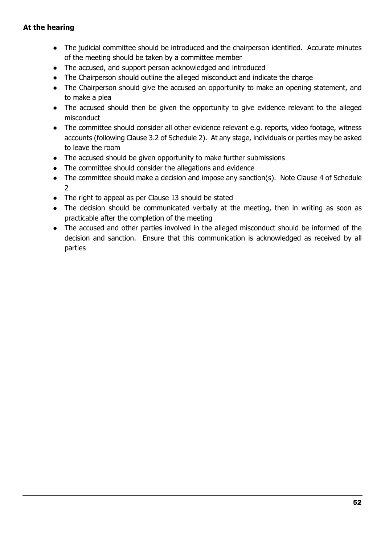- The judicial committee should be introduced and the chairperson identified. Accurate minutes of the meeting should be taken by a committee member
- The accused, and support person acknowledged and introduced
- The Chairperson should outline the alleged misconduct and indicate the charge
- The Chairperson should give the accused an opportunity to make an opening statement, and to make a plea
- The accused should then be given the opportunity to give evidence relevant to the alleged misconduct
- The committee should consider all other evidence relevant e.g. reports, video footage, witness accounts (following Clause 3.2 of Schedule 2). At any stage, individuals or parties may be asked to leave the room
- The accused should be given opportunity to make further submissions
- The committee should consider the allegations and evidence
- The committee should make a decision and impose any sanction(s). Note Clause 4 of Schedule 2
- The right to appeal as per Clause 13 should be stated
- The decision should be communicated verbally at the meeting, then in writing as soon as practicable after the completion of the meeting
- The accused and other parties involved in the alleged misconduct should be informed of the decision and sanction. Ensure that this communication is acknowledged as received by all parties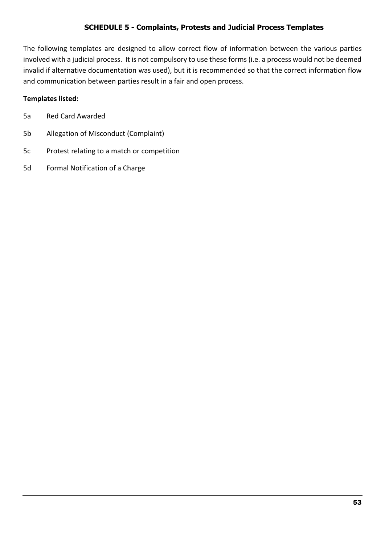#### **SCHEDULE 5 - Complaints, Protests and Judicial Process Templates**

<span id="page-52-0"></span>The following templates are designed to allow correct flow of information between the various parties involved with a judicial process. It is not compulsory to use these forms (i.e. a process would not be deemed invalid if alternative documentation was used), but it is recommended so that the correct information flow and communication between parties result in a fair and open process.

#### **Templates listed:**

| 5a |  | <b>Red Card Awarded</b> |
|----|--|-------------------------|
|    |  |                         |

- 5b Allegation of Misconduct (Complaint)
- 5c Protest relating to a match or competition
- 5d Formal Notification of a Charge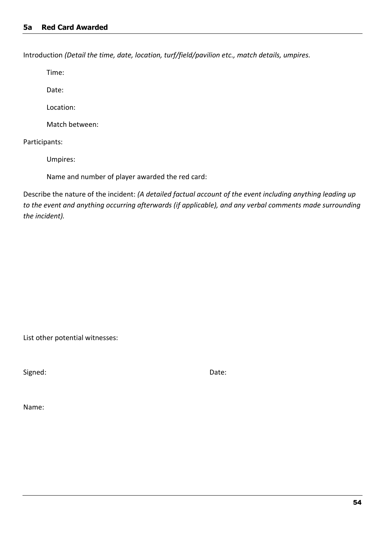<span id="page-53-0"></span>Introduction *(Detail the time, date, location, turf/field/pavilion etc., match details, umpires.*

Time:

Date:

Location:

Match between:

Participants:

Umpires:

Name and number of player awarded the red card:

Describe the nature of the incident: *(A detailed factual account of the event including anything leading up to the event and anything occurring afterwards (if applicable), and any verbal comments made surrounding the incident).*

List other potential witnesses:

Signed: Date:

Name: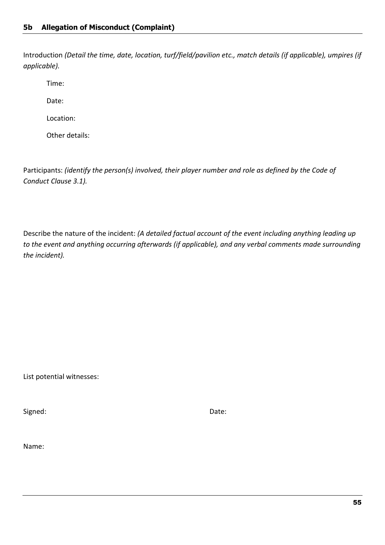<span id="page-54-0"></span>Introduction *(Detail the time, date, location, turf/field/pavilion etc., match details (if applicable), umpires (if applicable).*

Time:

Date:

Location:

Other details:

Participants: *(identify the person(s) involved, their player number and role as defined by the Code of Conduct Clause 3.1).*

Describe the nature of the incident: *(A detailed factual account of the event including anything leading up to the event and anything occurring afterwards (if applicable), and any verbal comments made surrounding the incident).*

List potential witnesses:

Signed: Date: Date: Date: Date: Date: Date: Date: Date: Date: Date: Date: Date: Date: Date: Date: Date: Date: Date: Date:  $\sim$  Date:  $\sim$  Date:  $\sim$  Date:  $\sim$  Date:  $\sim$  Date:  $\sim$  Date:  $\sim$  Date:  $\sim$  Date:  $\sim$  Date:

Name: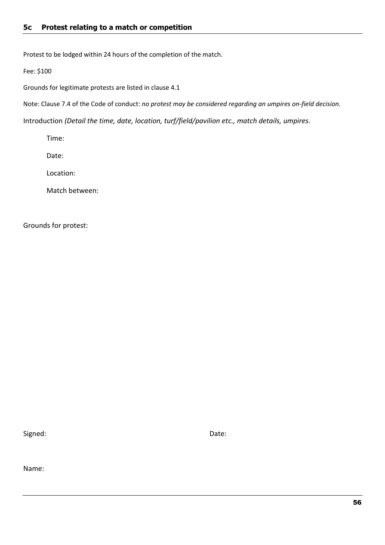<span id="page-55-0"></span>Protest to be lodged within 24 hours of the completion of the match.

Fee: \$100

Grounds for legitimate protests are listed in clause 4.1

Note: Clause 7.4 of the Code of conduct: *no protest may be considered regarding an umpires on-field decision.*

Introduction *(Detail the time, date, location, turf/field/pavilion etc., match details, umpires.*

Time:

Date:

Location:

Match between:

Grounds for protest:

Signed: Date: Date: Date: Date: Date: Date: Date: Date: Date: Date: Date: Date: Date: Date: Date: Date: Date: Date: Date: Date:  $\sim$  0.075  $\mu$  0.075  $\mu$  0.075  $\mu$  0.075  $\mu$  0.075  $\mu$  0.075  $\mu$  0.075  $\mu$  0.075  $\mu$  0

Name: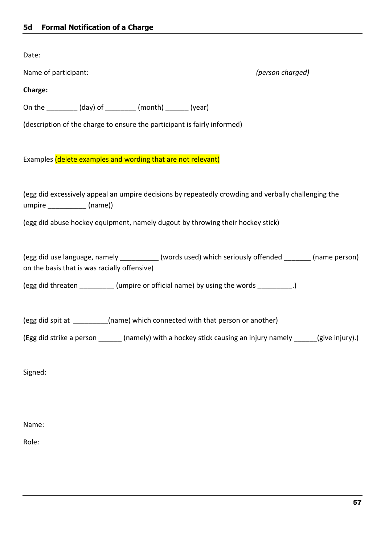<span id="page-56-0"></span>Date:

Name of participant: *(person charged)*

#### **Charge:**

On the \_\_\_\_\_\_\_\_ (day) of \_\_\_\_\_\_\_\_ (month) \_\_\_\_\_\_ (year)

(description of the charge to ensure the participant is fairly informed)

Examples (delete examples and wording that are not relevant)

(egg did excessively appeal an umpire decisions by repeatedly crowding and verbally challenging the umpire \_\_\_\_\_\_\_\_\_\_ (name))

(egg did abuse hockey equipment, namely dugout by throwing their hockey stick)

(egg did use language, namely \_\_\_\_\_\_\_\_\_\_ (words used) which seriously offended \_\_\_\_\_\_\_ (name person) on the basis that is was racially offensive)

(egg did threaten \_\_\_\_\_\_\_\_\_\_ (umpire or official name) by using the words \_\_\_\_\_\_\_\_\_.)

(egg did spit at \_\_\_\_\_\_\_\_\_(name) which connected with that person or another)

(Egg did strike a person \_\_\_\_\_\_ (namely) with a hockey stick causing an injury namely \_\_\_\_\_\_(give injury).)

Signed:

Name:

Role: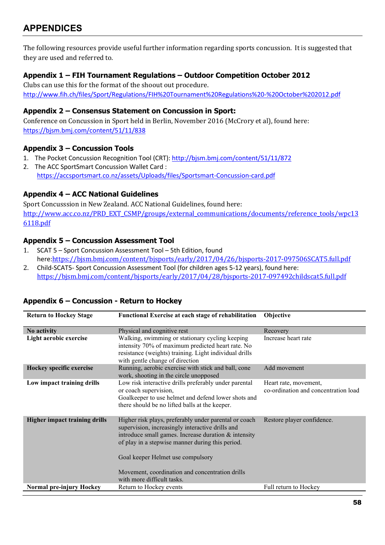<span id="page-57-0"></span>The following resources provide useful further information regarding sports concussion. It is suggested that they are used and referred to.

#### <span id="page-57-1"></span>**Appendix 1 – FIH Tournament Regulations – Outdoor Competition October 2012**

Clubs can use this for the format of the shoout out procedure. <http://www.fih.ch/files/Sport/Regulations/FIH%20Tournament%20Regulations%20-%20October%202012.pdf>

#### <span id="page-57-2"></span>**Appendix 2 – Consensus Statement on Concussion in Sport:**

Conference on Concussion in Sport held in Berlin, November 2016 (McCrory et al), found here: <https://bjsm.bmj.com/content/51/11/838>

#### <span id="page-57-3"></span>**Appendix 3 – Concussion Tools**

- 1. The Pocket Concussion Recognition Tool (CRT): <http://bjsm.bmj.com/content/51/11/872>
- 2. The ACC SportSmart Concussion Wallet Card : <https://accsportsmart.co.nz/assets/Uploads/files/Sportsmart-Concussion-card.pdf>

#### <span id="page-57-4"></span>**Appendix 4 – ACC National Guidelines**

Sport Concusssion in New Zealand. ACC National Guidelines, found here: [http://www.acc.co.nz/PRD\\_EXT\\_CSMP/groups/external\\_communications/documents/reference\\_tools/wpc13](http://www.acc.co.nz/PRD_EXT_CSMP/groups/external_communications/documents/reference_tools/wpc136118.pdf) [6118.pdf](http://www.acc.co.nz/PRD_EXT_CSMP/groups/external_communications/documents/reference_tools/wpc136118.pdf)

#### <span id="page-57-5"></span>**Appendix 5 – Concussion Assessment Tool**

- 1. SCAT 5 Sport Concussion Assessment Tool 5th Edition, found here:<https://bjsm.bmj.com/content/bjsports/early/2017/04/26/bjsports-2017-097506SCAT5.full.pdf>
- 2. Child-SCAT5- Sport Concussion Assessment Tool (for children ages 5-12 years), found here: <https://bjsm.bmj.com/content/bjsports/early/2017/04/28/bjsports-2017-097492childscat5.full.pdf>

| <b>Return to Hockey Stage</b>        | <b>Functional Exercise at each stage of rehabilitation</b>                                                                                                                                                                                                                                                                                  | Objective                                                     |
|--------------------------------------|---------------------------------------------------------------------------------------------------------------------------------------------------------------------------------------------------------------------------------------------------------------------------------------------------------------------------------------------|---------------------------------------------------------------|
| No activity                          | Physical and cognitive rest                                                                                                                                                                                                                                                                                                                 | Recovery                                                      |
| Light aerobic exercise               | Walking, swimming or stationary cycling keeping<br>intensity 70% of maximum predicted heart rate. No<br>resistance (weights) training. Light individual drills<br>with gentle change of direction                                                                                                                                           | Increase heart rate                                           |
| Hockey specific exercise             | Running, aerobic exercise with stick and ball, cone<br>work, shooting in the circle unopposed                                                                                                                                                                                                                                               | Add movement                                                  |
| Low impact training drills           | Low risk interactive drills preferably under parental<br>or coach supervision,<br>Goalkeeper to use helmet and defend lower shots and<br>there should be no lifted balls at the keeper.                                                                                                                                                     | Heart rate, movement,<br>co-ordination and concentration load |
| <b>Higher impact training drills</b> | Higher risk plays, preferably under parental or coach<br>supervision, increasingly interactive drills and<br>introduce small games. Increase duration & intensity<br>of play in a stepwise manner during this period.<br>Goal keeper Helmet use compulsory<br>Movement, coordination and concentration drills<br>with more difficult tasks. | Restore player confidence.                                    |
| <b>Normal pre-injury Hockey</b>      | Return to Hockey events                                                                                                                                                                                                                                                                                                                     | Full return to Hockey                                         |

#### <span id="page-57-6"></span>**Appendix 6 – Concussion - Return to Hockey**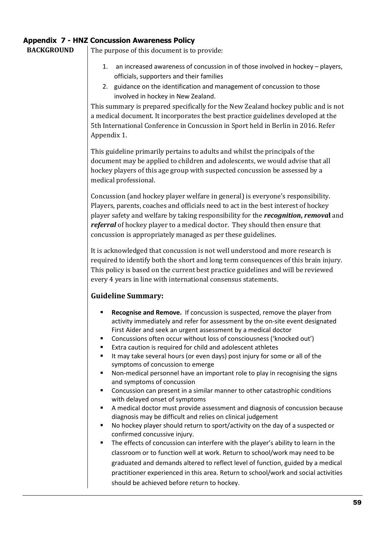#### <span id="page-58-0"></span>**Appendix 7 - HNZ Concussion Awareness Policy**

**BACKGROUND** The purpose of this document is to provide:

- 1. an increased awareness of concussion in of those involved in hockey players, officials, supporters and their families
- 2. guidance on the identification and management of concussion to those involved in hockey in New Zealand.

This summary is prepared specifically for the New Zealand hockey public and is not a medical document. It incorporates the best practice guidelines developed at the 5th International Conference in Concussion in Sport held in Berlin in 2016. Refer Appendix 1.

This guideline primarily pertains to adults and whilst the principals of the document may be applied to children and adolescents, we would advise that all hockey players of this age group with suspected concussion be assessed by a medical professional.

Concussion (and hockey player welfare in general) is everyone's responsibility. Players, parents, coaches and officials need to act in the best interest of hockey player safety and welfare by taking responsibility for the *recognition***,** *remova***l** and *referral* of hockey player to a medical doctor. They should then ensure that concussion is appropriately managed as per these guidelines.

It is acknowledged that concussion is not well understood and more research is required to identify both the short and long term consequences of this brain injury. This policy is based on the current best practice guidelines and will be reviewed every 4 years in line with international consensus statements.

#### **Guideline Summary:**

- **Recognise and Remove.** If concussion is suspected, remove the player from activity immediately and refer for assessment by the on-site event designated First Aider and seek an urgent assessment by a medical doctor
- Concussions often occur without loss of consciousness ('knocked out')
- Extra caution is required for child and adolescent athletes
- It may take several hours (or even days) post injury for some or all of the symptoms of concussion to emerge
- Non-medical personnel have an important role to play in recognising the signs and symptoms of concussion
- Concussion can present in a similar manner to other catastrophic conditions with delayed onset of symptoms
- A medical doctor must provide assessment and diagnosis of concussion because diagnosis may be difficult and relies on clinical judgement
- No hockey player should return to sport/activity on the day of a suspected or confirmed concussive injury.
- The effects of concussion can interfere with the player's ability to learn in the classroom or to function well at work. Return to school/work may need to be graduated and demands altered to reflect level of function, guided by a medical practitioner experienced in this area. Return to school/work and social activities should be achieved before return to hockey.